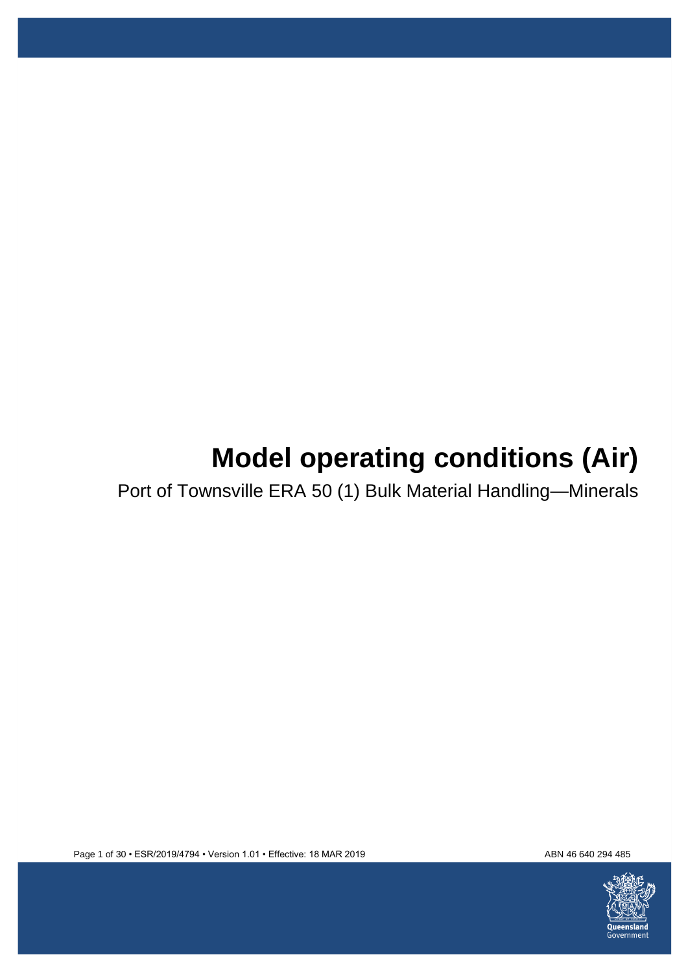# **Model operating conditions (Air)**

Port of Townsville ERA 50 (1) Bulk Material Handling—Minerals



Page 1 of 30 • ESR/2019/4794 • Version 1.01 • Effective: 18 MAR 2019 ABN 46640 294 485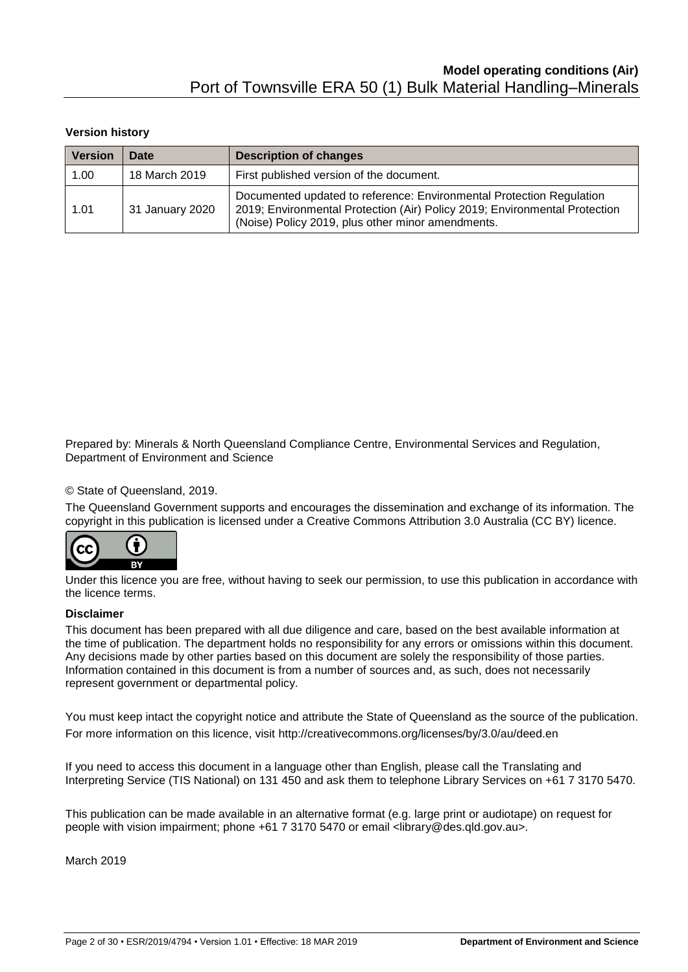#### **Version history**

| <b>Version</b> | Date            | <b>Description of changes</b>                                                                                                                                                                           |  |  |  |
|----------------|-----------------|---------------------------------------------------------------------------------------------------------------------------------------------------------------------------------------------------------|--|--|--|
| 1.00           | 18 March 2019   | First published version of the document.                                                                                                                                                                |  |  |  |
| 1.01           | 31 January 2020 | Documented updated to reference: Environmental Protection Regulation<br>2019; Environmental Protection (Air) Policy 2019; Environmental Protection<br>(Noise) Policy 2019, plus other minor amendments. |  |  |  |

Prepared by: Minerals & North Queensland Compliance Centre, Environmental Services and Regulation, Department of Environment and Science

#### © State of Queensland, 2019.

The Queensland Government supports and encourages the dissemination and exchange of its information. The copyright in this publication is licensed under a Creative Commons Attribution 3.0 Australia (CC BY) licence.



Under this licence you are free, without having to seek our permission, to use this publication in accordance with the licence terms.

#### **Disclaimer**

This document has been prepared with all due diligence and care, based on the best available information at the time of publication. The department holds no responsibility for any errors or omissions within this document. Any decisions made by other parties based on this document are solely the responsibility of those parties. Information contained in this document is from a number of sources and, as such, does not necessarily represent government or departmental policy.

You must keep intact the copyright notice and attribute the State of Queensland as the source of the publication. For more information on this licence, visit<http://creativecommons.org/licenses/by/3.0/au/deed.en>

If you need to access this document in a language other than English, please call the Translating and Interpreting Service (TIS National) on 131 450 and ask them to telephone Library Services on +61 7 3170 5470.

This publication can be made available in an alternative format (e.g. large print or audiotape) on request for people with vision impairment; phone +61 7 3170 5470 or email <library@des.qld.gov.au>.

March 2019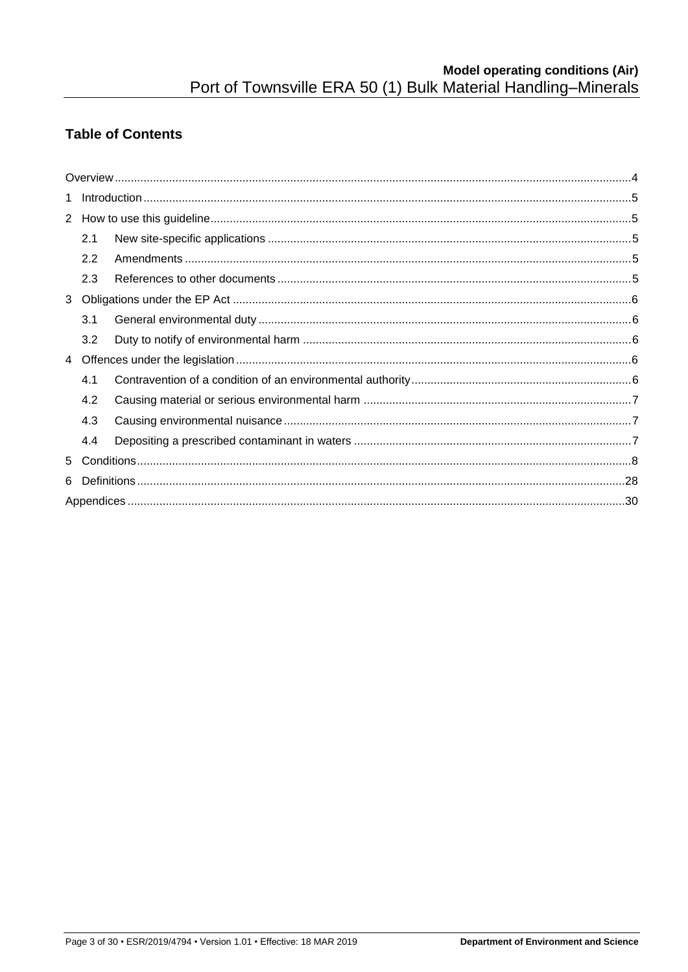## **Table of Contents**

|   | 2.1 |  |  |  |  |  |
|---|-----|--|--|--|--|--|
|   | 2.2 |  |  |  |  |  |
|   | 2.3 |  |  |  |  |  |
|   |     |  |  |  |  |  |
|   | 3.1 |  |  |  |  |  |
|   | 3.2 |  |  |  |  |  |
|   |     |  |  |  |  |  |
|   | 4.1 |  |  |  |  |  |
|   | 4.2 |  |  |  |  |  |
|   | 4.3 |  |  |  |  |  |
|   | 4.4 |  |  |  |  |  |
|   |     |  |  |  |  |  |
| 6 |     |  |  |  |  |  |
|   |     |  |  |  |  |  |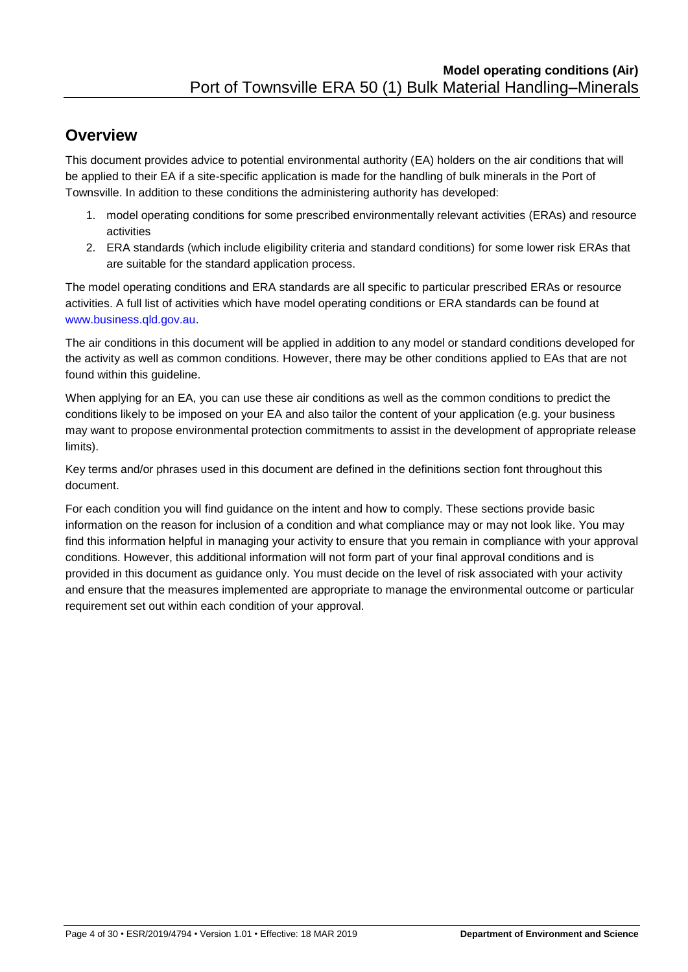## <span id="page-3-0"></span>**Overview**

This document provides advice to potential environmental authority (EA) holders on the air conditions that will be applied to their EA if a site-specific application is made for the handling of bulk minerals in the Port of Townsville. In addition to these conditions the administering authority has developed:

- 1. model operating conditions for some prescribed environmentally relevant activities (ERAs) and resource activities
- 2. ERA standards (which include eligibility criteria and standard conditions) for some lower risk ERAs that are suitable for the standard application process.

The model operating conditions and ERA standards are all specific to particular prescribed ERAs or resource activities. A full list of activities which have model operating conditions or ERA standards can be found at [www.business.qld.gov.au.](http://www.business.qld.gov.au/)

The air conditions in this document will be applied in addition to any model or standard conditions developed for the activity as well as common conditions. However, there may be other conditions applied to EAs that are not found within this guideline.

When applying for an EA, you can use these air conditions as well as the common conditions to predict the conditions likely to be imposed on your EA and also tailor the content of your application (e.g. your business may want to propose environmental protection commitments to assist in the development of appropriate release limits).

Key terms and/or phrases used in this document are defined in the definitions section font throughout this document.

For each condition you will find guidance on the intent and how to comply. These sections provide basic information on the reason for inclusion of a condition and what compliance may or may not look like. You may find this information helpful in managing your activity to ensure that you remain in compliance with your approval conditions. However, this additional information will not form part of your final approval conditions and is provided in this document as guidance only. You must decide on the level of risk associated with your activity and ensure that the measures implemented are appropriate to manage the environmental outcome or particular requirement set out within each condition of your approval.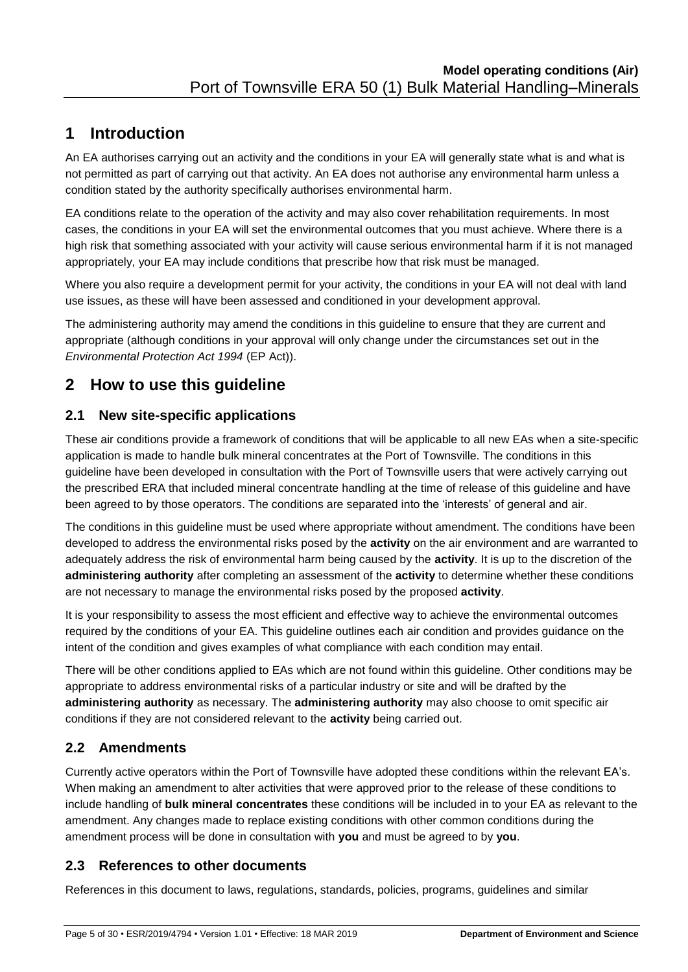# <span id="page-4-0"></span>**1 Introduction**

An EA authorises carrying out an activity and the conditions in your EA will generally state what is and what is not permitted as part of carrying out that activity. An EA does not authorise any environmental harm unless a condition stated by the authority specifically authorises environmental harm.

EA conditions relate to the operation of the activity and may also cover rehabilitation requirements. In most cases, the conditions in your EA will set the environmental outcomes that you must achieve. Where there is a high risk that something associated with your activity will cause serious environmental harm if it is not managed appropriately, your EA may include conditions that prescribe how that risk must be managed.

Where you also require a development permit for your activity, the conditions in your EA will not deal with land use issues, as these will have been assessed and conditioned in your development approval.

The administering authority may amend the conditions in this guideline to ensure that they are current and appropriate (although conditions in your approval will only change under the circumstances set out in the *Environmental Protection Act 1994* (EP Act)).

# <span id="page-4-1"></span>**2 How to use this guideline**

## <span id="page-4-2"></span>**2.1 New site-specific applications**

These air conditions provide a framework of conditions that will be applicable to all new EAs when a site-specific application is made to handle bulk mineral concentrates at the Port of Townsville. The conditions in this guideline have been developed in consultation with the Port of Townsville users that were actively carrying out the prescribed ERA that included mineral concentrate handling at the time of release of this guideline and have been agreed to by those operators. The conditions are separated into the 'interests' of general and air.

The conditions in this guideline must be used where appropriate without amendment. The conditions have been developed to address the environmental risks posed by the **activity** on the air environment and are warranted to adequately address the risk of environmental harm being caused by the **activity**. It is up to the discretion of the **administering authority** after completing an assessment of the **activity** to determine whether these conditions are not necessary to manage the environmental risks posed by the proposed **activity**.

It is your responsibility to assess the most efficient and effective way to achieve the environmental outcomes required by the conditions of your EA. This guideline outlines each air condition and provides guidance on the intent of the condition and gives examples of what compliance with each condition may entail.

There will be other conditions applied to EAs which are not found within this guideline. Other conditions may be appropriate to address environmental risks of a particular industry or site and will be drafted by the **administering authority** as necessary. The **administering authority** may also choose to omit specific air conditions if they are not considered relevant to the **activity** being carried out.

## <span id="page-4-3"></span>**2.2 Amendments**

Currently active operators within the Port of Townsville have adopted these conditions within the relevant EA's. When making an amendment to alter activities that were approved prior to the release of these conditions to include handling of **bulk mineral concentrates** these conditions will be included in to your EA as relevant to the amendment. Any changes made to replace existing conditions with other common conditions during the amendment process will be done in consultation with **you** and must be agreed to by **you**.

### <span id="page-4-4"></span>**2.3 References to other documents**

References in this document to laws, regulations, standards, policies, programs, guidelines and similar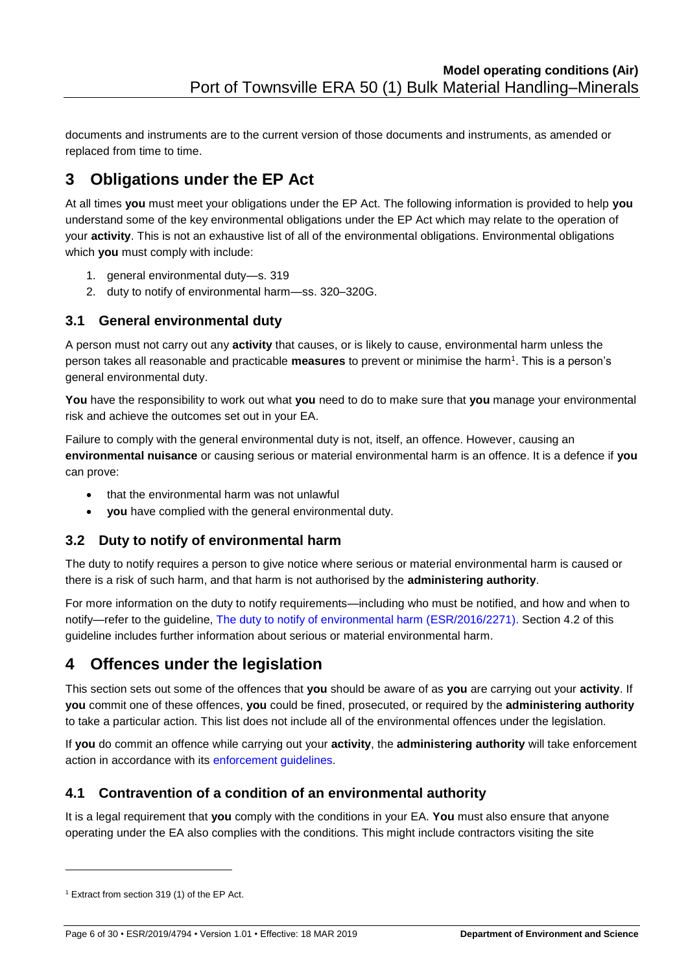documents and instruments are to the current version of those documents and instruments, as amended or replaced from time to time.

# <span id="page-5-0"></span>**3 Obligations under the EP Act**

At all times **you** must meet your obligations under the EP Act. The following information is provided to help **you** understand some of the key environmental obligations under the EP Act which may relate to the operation of your **activity**. This is not an exhaustive list of all of the environmental obligations. Environmental obligations which **you** must comply with include:

- 1. general environmental duty—s. 319
- 2. duty to notify of environmental harm—ss. 320–320G.

#### <span id="page-5-1"></span>**3.1 General environmental duty**

A person must not carry out any **activity** that causes, or is likely to cause, environmental harm unless the person takes all reasonable and practicable **measures** to prevent or minimise the harm<sup>1</sup> . This is a person's general environmental duty.

**You** have the responsibility to work out what **you** need to do to make sure that **you** manage your environmental risk and achieve the outcomes set out in your EA.

Failure to comply with the general environmental duty is not, itself, an offence. However, causing an **environmental nuisance** or causing serious or material environmental harm is an offence. It is a defence if **you** can prove:

- that the environmental harm was not unlawful
- **you** have complied with the general environmental duty.

## <span id="page-5-2"></span>**3.2 Duty to notify of environmental harm**

The duty to notify requires a person to give notice where serious or material environmental harm is caused or there is a risk of such harm, and that harm is not authorised by the **administering authority**.

For more information on the duty to notify requirements—including who must be notified, and how and when to notify—refer to the guideline, [The duty to notify of environmental harm \(ESR/2016/2271\).](https://www.ehp.qld.gov.au/licences-permits/business-industry/pdf/guide-duty-notify-environmental-harm-em467.pdf) Section 4.2 of this guideline includes further information about serious or material environmental harm.

## <span id="page-5-3"></span>**4 Offences under the legislation**

This section sets out some of the offences that **you** should be aware of as **you** are carrying out your **activity**. If **you** commit one of these offences, **you** could be fined, prosecuted, or required by the **administering authority**  to take a particular action. This list does not include all of the environmental offences under the legislation.

If **you** do commit an offence while carrying out your **activity**, the **administering authority** will take enforcement action in accordance with its [enforcement guidelines.](http://www.ehp.qld.gov.au/management/pdf/enforcement-guidelines.pdf)

### <span id="page-5-4"></span>**4.1 Contravention of a condition of an environmental authority**

It is a legal requirement that **you** comply with the conditions in your EA. **You** must also ensure that anyone operating under the EA also complies with the conditions. This might include contractors visiting the site

-

<sup>1</sup> Extract from section 319 (1) of the EP Act.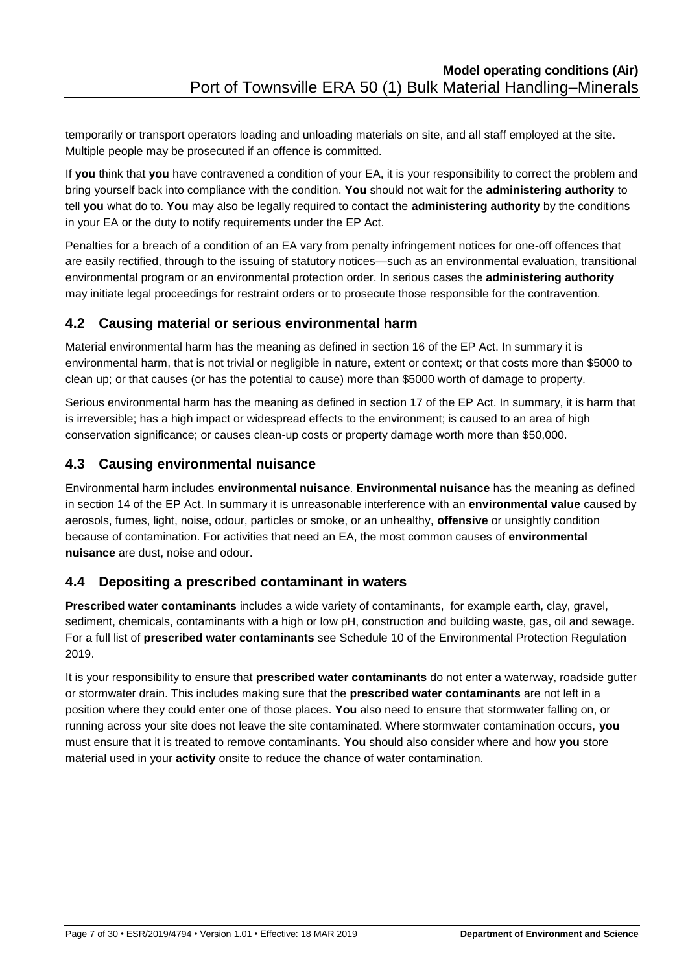temporarily or transport operators loading and unloading materials on site, and all staff employed at the site. Multiple people may be prosecuted if an offence is committed.

If **you** think that **you** have contravened a condition of your EA, it is your responsibility to correct the problem and bring yourself back into compliance with the condition. **You** should not wait for the **administering authority** to tell **you** what do to. **You** may also be legally required to contact the **administering authority** by the conditions in your EA or the duty to notify requirements under the EP Act.

Penalties for a breach of a condition of an EA vary from penalty infringement notices for one-off offences that are easily rectified, through to the issuing of statutory notices—such as an environmental evaluation, transitional environmental program or an environmental protection order. In serious cases the **administering authority**  may initiate legal proceedings for restraint orders or to prosecute those responsible for the contravention.

### <span id="page-6-0"></span>**4.2 Causing material or serious environmental harm**

Material environmental harm has the meaning as defined in section 16 of the EP Act. In summary it is environmental harm, that is not trivial or negligible in nature, extent or context; or that costs more than \$5000 to clean up; or that causes (or has the potential to cause) more than \$5000 worth of damage to property.

Serious environmental harm has the meaning as defined in section 17 of the EP Act. In summary, it is harm that is irreversible; has a high impact or widespread effects to the environment; is caused to an area of high conservation significance; or causes clean-up costs or property damage worth more than \$50,000.

## <span id="page-6-1"></span>**4.3 Causing environmental nuisance**

Environmental harm includes **environmental nuisance**. **Environmental nuisance** has the meaning as defined in section 14 of the EP Act. In summary it is unreasonable interference with an **environmental value** caused by aerosols, fumes, light, noise, odour, particles or smoke, or an unhealthy, **offensive** or unsightly condition because of contamination. For activities that need an EA, the most common causes of **environmental nuisance** are dust, noise and odour.

## <span id="page-6-2"></span>**4.4 Depositing a prescribed contaminant in waters**

**Prescribed water contaminants** includes a wide variety of contaminants, for example earth, clay, gravel, sediment, chemicals, contaminants with a high or low pH, construction and building waste, gas, oil and sewage. For a full list of **prescribed water contaminants** see Schedule 10 of the Environmental Protection Regulation 2019.

It is your responsibility to ensure that **prescribed water contaminants** do not enter a waterway, roadside gutter or stormwater drain. This includes making sure that the **prescribed water contaminants** are not left in a position where they could enter one of those places. **You** also need to ensure that stormwater falling on, or running across your site does not leave the site contaminated. Where stormwater contamination occurs, **you** must ensure that it is treated to remove contaminants. **You** should also consider where and how **you** store material used in your **activity** onsite to reduce the chance of water contamination.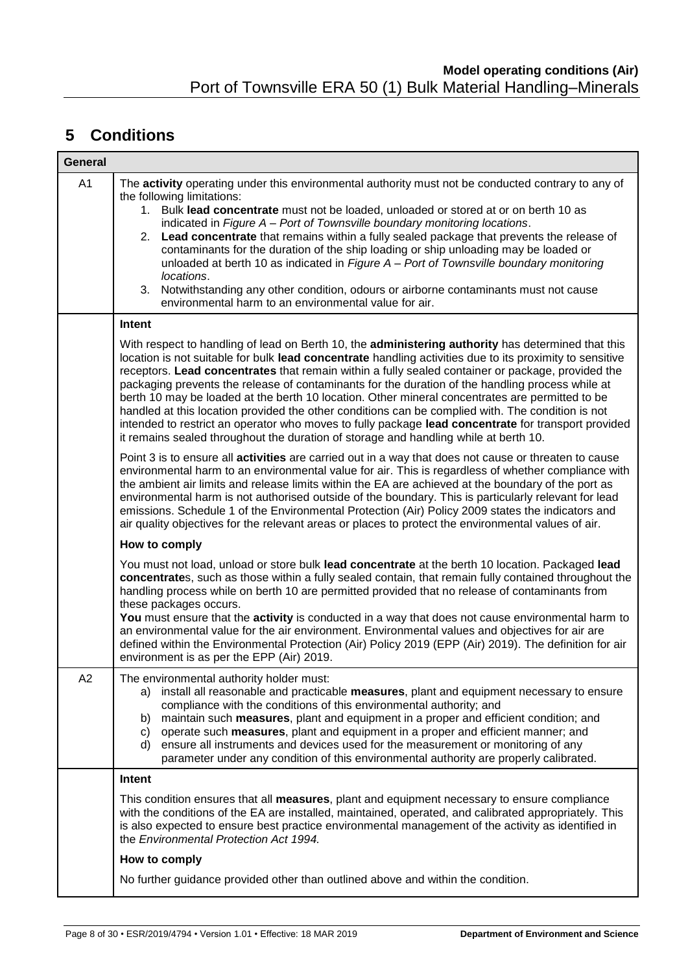# <span id="page-7-0"></span>**5 Conditions**

| <b>General</b> |                                                                                                                                                                                                                                                                                                                                                                                                                                                                                                                                                                                                                                                                                                                                                                                                                                |  |  |  |  |
|----------------|--------------------------------------------------------------------------------------------------------------------------------------------------------------------------------------------------------------------------------------------------------------------------------------------------------------------------------------------------------------------------------------------------------------------------------------------------------------------------------------------------------------------------------------------------------------------------------------------------------------------------------------------------------------------------------------------------------------------------------------------------------------------------------------------------------------------------------|--|--|--|--|
| A <sub>1</sub> | The activity operating under this environmental authority must not be conducted contrary to any of<br>the following limitations:<br>1. Bulk lead concentrate must not be loaded, unloaded or stored at or on berth 10 as<br>indicated in Figure A - Port of Townsville boundary monitoring locations.<br>2. Lead concentrate that remains within a fully sealed package that prevents the release of<br>contaminants for the duration of the ship loading or ship unloading may be loaded or<br>unloaded at berth 10 as indicated in Figure A - Port of Townsville boundary monitoring<br>locations.<br>3. Notwithstanding any other condition, odours or airborne contaminants must not cause<br>environmental harm to an environmental value for air.                                                                        |  |  |  |  |
|                | Intent                                                                                                                                                                                                                                                                                                                                                                                                                                                                                                                                                                                                                                                                                                                                                                                                                         |  |  |  |  |
|                | With respect to handling of lead on Berth 10, the administering authority has determined that this<br>location is not suitable for bulk lead concentrate handling activities due to its proximity to sensitive<br>receptors. Lead concentrates that remain within a fully sealed container or package, provided the<br>packaging prevents the release of contaminants for the duration of the handling process while at<br>berth 10 may be loaded at the berth 10 location. Other mineral concentrates are permitted to be<br>handled at this location provided the other conditions can be complied with. The condition is not<br>intended to restrict an operator who moves to fully package lead concentrate for transport provided<br>it remains sealed throughout the duration of storage and handling while at berth 10. |  |  |  |  |
|                | Point 3 is to ensure all activities are carried out in a way that does not cause or threaten to cause<br>environmental harm to an environmental value for air. This is regardless of whether compliance with<br>the ambient air limits and release limits within the EA are achieved at the boundary of the port as<br>environmental harm is not authorised outside of the boundary. This is particularly relevant for lead<br>emissions. Schedule 1 of the Environmental Protection (Air) Policy 2009 states the indicators and<br>air quality objectives for the relevant areas or places to protect the environmental values of air.                                                                                                                                                                                        |  |  |  |  |
|                | How to comply                                                                                                                                                                                                                                                                                                                                                                                                                                                                                                                                                                                                                                                                                                                                                                                                                  |  |  |  |  |
|                | You must not load, unload or store bulk lead concentrate at the berth 10 location. Packaged lead<br>concentrates, such as those within a fully sealed contain, that remain fully contained throughout the<br>handling process while on berth 10 are permitted provided that no release of contaminants from<br>these packages occurs.<br>You must ensure that the activity is conducted in a way that does not cause environmental harm to<br>an environmental value for the air environment. Environmental values and objectives for air are<br>defined within the Environmental Protection (Air) Policy 2019 (EPP (Air) 2019). The definition for air<br>environment is as per the EPP (Air) 2019.                                                                                                                           |  |  |  |  |
| A2             | The environmental authority holder must:<br>a) install all reasonable and practicable measures, plant and equipment necessary to ensure<br>compliance with the conditions of this environmental authority; and<br>b) maintain such measures, plant and equipment in a proper and efficient condition; and<br>operate such measures, plant and equipment in a proper and efficient manner; and<br>C)<br>d) ensure all instruments and devices used for the measurement or monitoring of any<br>parameter under any condition of this environmental authority are properly calibrated.                                                                                                                                                                                                                                           |  |  |  |  |
|                | Intent                                                                                                                                                                                                                                                                                                                                                                                                                                                                                                                                                                                                                                                                                                                                                                                                                         |  |  |  |  |
|                | This condition ensures that all measures, plant and equipment necessary to ensure compliance<br>with the conditions of the EA are installed, maintained, operated, and calibrated appropriately. This<br>is also expected to ensure best practice environmental management of the activity as identified in<br>the Environmental Protection Act 1994.                                                                                                                                                                                                                                                                                                                                                                                                                                                                          |  |  |  |  |
|                | How to comply                                                                                                                                                                                                                                                                                                                                                                                                                                                                                                                                                                                                                                                                                                                                                                                                                  |  |  |  |  |
|                | No further guidance provided other than outlined above and within the condition.                                                                                                                                                                                                                                                                                                                                                                                                                                                                                                                                                                                                                                                                                                                                               |  |  |  |  |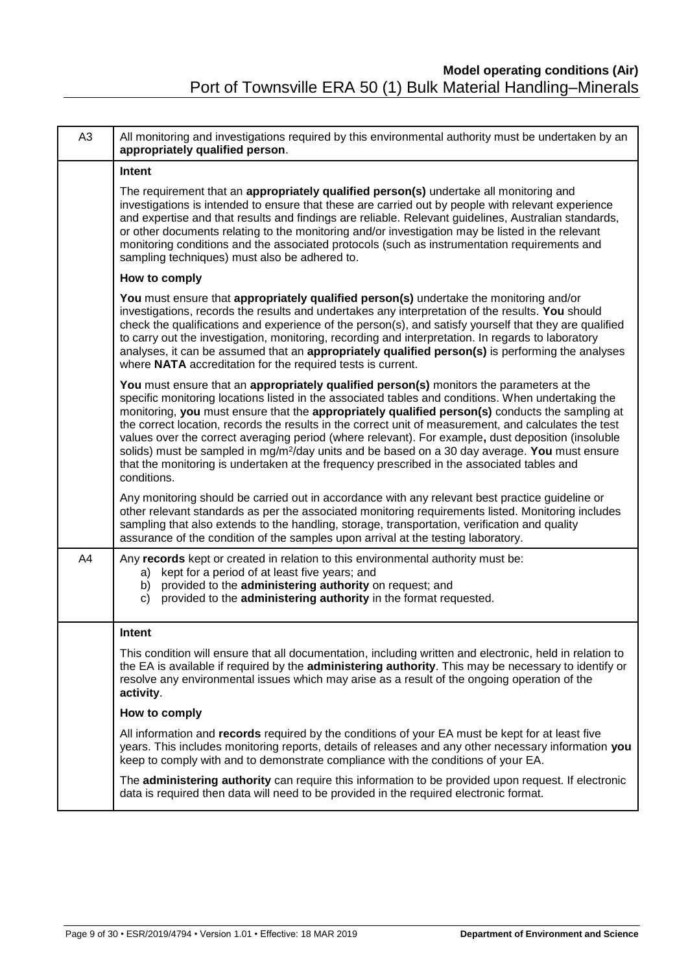| A <sub>3</sub> | All monitoring and investigations required by this environmental authority must be undertaken by an<br>appropriately qualified person.                                                                                                                                                                                                                                                                                                                                                                                                                                                                                                                                                                                                     |  |  |  |  |  |
|----------------|--------------------------------------------------------------------------------------------------------------------------------------------------------------------------------------------------------------------------------------------------------------------------------------------------------------------------------------------------------------------------------------------------------------------------------------------------------------------------------------------------------------------------------------------------------------------------------------------------------------------------------------------------------------------------------------------------------------------------------------------|--|--|--|--|--|
|                | <b>Intent</b>                                                                                                                                                                                                                                                                                                                                                                                                                                                                                                                                                                                                                                                                                                                              |  |  |  |  |  |
|                | The requirement that an appropriately qualified person(s) undertake all monitoring and<br>investigations is intended to ensure that these are carried out by people with relevant experience<br>and expertise and that results and findings are reliable. Relevant guidelines, Australian standards,<br>or other documents relating to the monitoring and/or investigation may be listed in the relevant<br>monitoring conditions and the associated protocols (such as instrumentation requirements and<br>sampling techniques) must also be adhered to.                                                                                                                                                                                  |  |  |  |  |  |
|                | How to comply                                                                                                                                                                                                                                                                                                                                                                                                                                                                                                                                                                                                                                                                                                                              |  |  |  |  |  |
|                | You must ensure that appropriately qualified person(s) undertake the monitoring and/or<br>investigations, records the results and undertakes any interpretation of the results. You should<br>check the qualifications and experience of the person(s), and satisfy yourself that they are qualified<br>to carry out the investigation, monitoring, recording and interpretation. In regards to laboratory<br>analyses, it can be assumed that an appropriately qualified person(s) is performing the analyses<br>where NATA accreditation for the required tests is current.                                                                                                                                                              |  |  |  |  |  |
|                | You must ensure that an appropriately qualified person(s) monitors the parameters at the<br>specific monitoring locations listed in the associated tables and conditions. When undertaking the<br>monitoring, you must ensure that the appropriately qualified person(s) conducts the sampling at<br>the correct location, records the results in the correct unit of measurement, and calculates the test<br>values over the correct averaging period (where relevant). For example, dust deposition (insoluble<br>solids) must be sampled in mg/m <sup>2</sup> /day units and be based on a 30 day average. You must ensure<br>that the monitoring is undertaken at the frequency prescribed in the associated tables and<br>conditions. |  |  |  |  |  |
|                | Any monitoring should be carried out in accordance with any relevant best practice guideline or<br>other relevant standards as per the associated monitoring requirements listed. Monitoring includes<br>sampling that also extends to the handling, storage, transportation, verification and quality<br>assurance of the condition of the samples upon arrival at the testing laboratory.                                                                                                                                                                                                                                                                                                                                                |  |  |  |  |  |
| A4             | Any records kept or created in relation to this environmental authority must be:<br>a) kept for a period of at least five years; and<br>b) provided to the administering authority on request; and<br>provided to the administering authority in the format requested.<br>C)                                                                                                                                                                                                                                                                                                                                                                                                                                                               |  |  |  |  |  |
|                | Intent                                                                                                                                                                                                                                                                                                                                                                                                                                                                                                                                                                                                                                                                                                                                     |  |  |  |  |  |
|                | This condition will ensure that all documentation, including written and electronic, held in relation to<br>the EA is available if required by the administering authority. This may be necessary to identify or<br>resolve any environmental issues which may arise as a result of the ongoing operation of the<br>activity.                                                                                                                                                                                                                                                                                                                                                                                                              |  |  |  |  |  |
|                | How to comply                                                                                                                                                                                                                                                                                                                                                                                                                                                                                                                                                                                                                                                                                                                              |  |  |  |  |  |
|                | All information and records required by the conditions of your EA must be kept for at least five<br>years. This includes monitoring reports, details of releases and any other necessary information you<br>keep to comply with and to demonstrate compliance with the conditions of your EA.                                                                                                                                                                                                                                                                                                                                                                                                                                              |  |  |  |  |  |
|                | The administering authority can require this information to be provided upon request. If electronic<br>data is required then data will need to be provided in the required electronic format.                                                                                                                                                                                                                                                                                                                                                                                                                                                                                                                                              |  |  |  |  |  |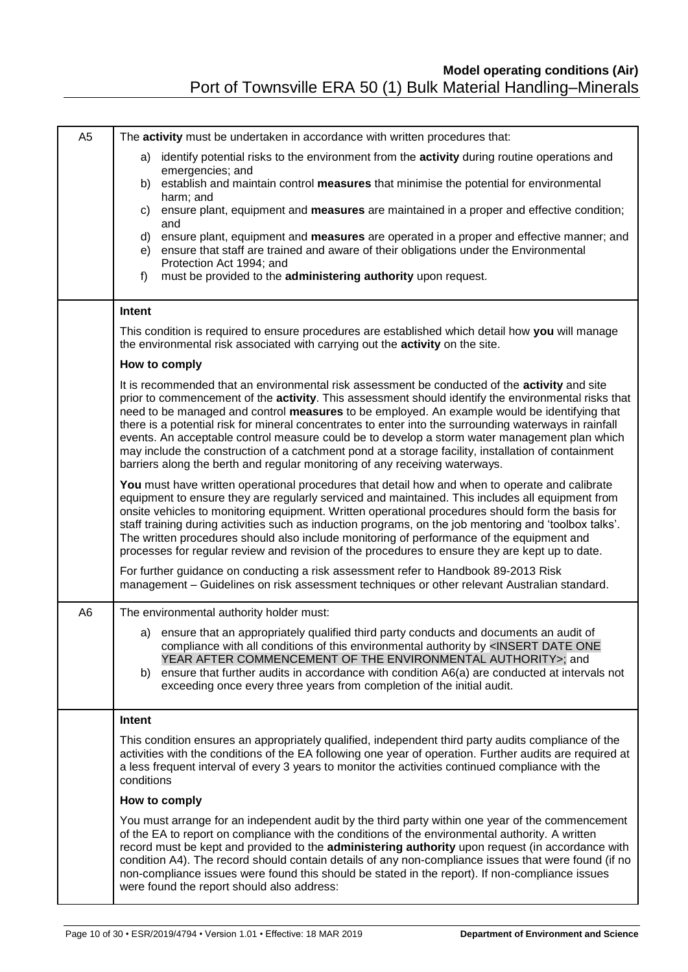| A <sub>5</sub> | The activity must be undertaken in accordance with written procedures that:                                                                                                                                                                                                                                                                                                                                                                                                                                                                                                                                                                                                                           |
|----------------|-------------------------------------------------------------------------------------------------------------------------------------------------------------------------------------------------------------------------------------------------------------------------------------------------------------------------------------------------------------------------------------------------------------------------------------------------------------------------------------------------------------------------------------------------------------------------------------------------------------------------------------------------------------------------------------------------------|
|                | identify potential risks to the environment from the activity during routine operations and<br>a)<br>emergencies; and                                                                                                                                                                                                                                                                                                                                                                                                                                                                                                                                                                                 |
|                | b) establish and maintain control measures that minimise the potential for environmental<br>harm; and                                                                                                                                                                                                                                                                                                                                                                                                                                                                                                                                                                                                 |
|                | ensure plant, equipment and measures are maintained in a proper and effective condition;<br>C)                                                                                                                                                                                                                                                                                                                                                                                                                                                                                                                                                                                                        |
|                | and<br>ensure plant, equipment and measures are operated in a proper and effective manner; and<br>d)                                                                                                                                                                                                                                                                                                                                                                                                                                                                                                                                                                                                  |
|                | ensure that staff are trained and aware of their obligations under the Environmental<br>e)<br>Protection Act 1994; and                                                                                                                                                                                                                                                                                                                                                                                                                                                                                                                                                                                |
|                | must be provided to the administering authority upon request.<br>f                                                                                                                                                                                                                                                                                                                                                                                                                                                                                                                                                                                                                                    |
|                | Intent                                                                                                                                                                                                                                                                                                                                                                                                                                                                                                                                                                                                                                                                                                |
|                | This condition is required to ensure procedures are established which detail how you will manage<br>the environmental risk associated with carrying out the activity on the site.                                                                                                                                                                                                                                                                                                                                                                                                                                                                                                                     |
|                | How to comply                                                                                                                                                                                                                                                                                                                                                                                                                                                                                                                                                                                                                                                                                         |
|                | It is recommended that an environmental risk assessment be conducted of the activity and site<br>prior to commencement of the activity. This assessment should identify the environmental risks that<br>need to be managed and control measures to be employed. An example would be identifying that<br>there is a potential risk for mineral concentrates to enter into the surrounding waterways in rainfall<br>events. An acceptable control measure could be to develop a storm water management plan which<br>may include the construction of a catchment pond at a storage facility, installation of containment<br>barriers along the berth and regular monitoring of any receiving waterways. |
|                | You must have written operational procedures that detail how and when to operate and calibrate<br>equipment to ensure they are regularly serviced and maintained. This includes all equipment from<br>onsite vehicles to monitoring equipment. Written operational procedures should form the basis for<br>staff training during activities such as induction programs, on the job mentoring and 'toolbox talks'.<br>The written procedures should also include monitoring of performance of the equipment and<br>processes for regular review and revision of the procedures to ensure they are kept up to date.                                                                                     |
|                | For further guidance on conducting a risk assessment refer to Handbook 89-2013 Risk<br>management - Guidelines on risk assessment techniques or other relevant Australian standard.                                                                                                                                                                                                                                                                                                                                                                                                                                                                                                                   |
| A <sub>6</sub> | The environmental authority holder must:                                                                                                                                                                                                                                                                                                                                                                                                                                                                                                                                                                                                                                                              |
|                | a) ensure that an appropriately qualified third party conducts and documents an audit of<br>compliance with all conditions of this environmental authority by <insert date="" one<br="">YEAR AFTER COMMENCEMENT OF THE ENVIRONMENTAL AUTHORITY&gt;; and<br/>b) ensure that further audits in accordance with condition A6(a) are conducted at intervals not<br/>exceeding once every three years from completion of the initial audit.</insert>                                                                                                                                                                                                                                                       |
|                | Intent                                                                                                                                                                                                                                                                                                                                                                                                                                                                                                                                                                                                                                                                                                |
|                | This condition ensures an appropriately qualified, independent third party audits compliance of the<br>activities with the conditions of the EA following one year of operation. Further audits are required at<br>a less frequent interval of every 3 years to monitor the activities continued compliance with the<br>conditions                                                                                                                                                                                                                                                                                                                                                                    |
|                | How to comply                                                                                                                                                                                                                                                                                                                                                                                                                                                                                                                                                                                                                                                                                         |
|                | You must arrange for an independent audit by the third party within one year of the commencement<br>of the EA to report on compliance with the conditions of the environmental authority. A written<br>record must be kept and provided to the administering authority upon request (in accordance with<br>condition A4). The record should contain details of any non-compliance issues that were found (if no<br>non-compliance issues were found this should be stated in the report). If non-compliance issues<br>were found the report should also address:                                                                                                                                      |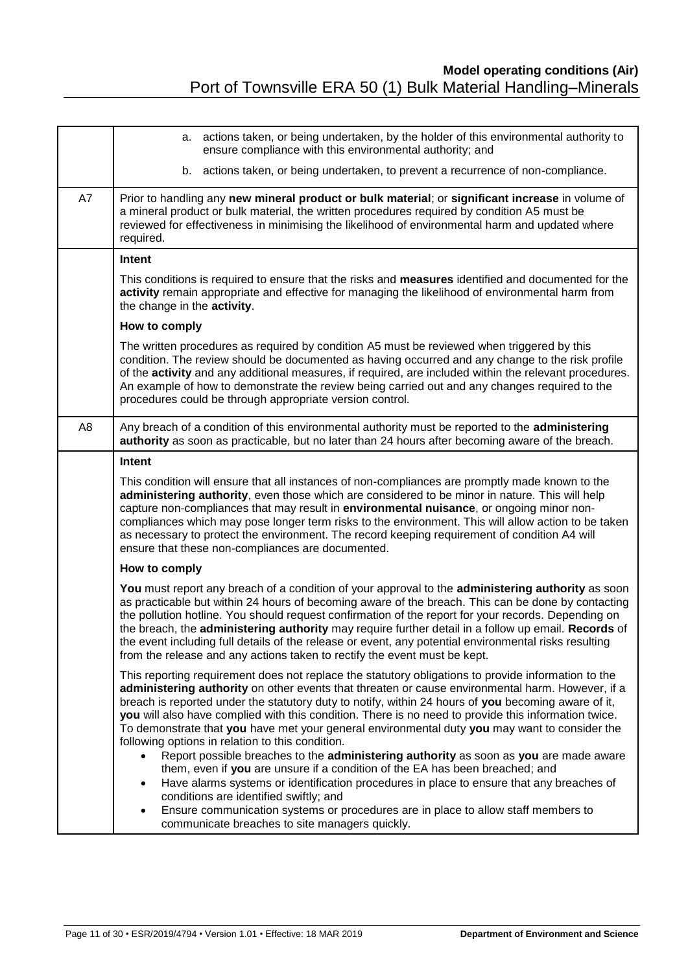|                | a. actions taken, or being undertaken, by the holder of this environmental authority to<br>ensure compliance with this environmental authority; and                                                                                                                                                                                                                                                                                                                                                                                                                                                                                                                                                                                                                                                                                                                                                     |  |  |  |  |
|----------------|---------------------------------------------------------------------------------------------------------------------------------------------------------------------------------------------------------------------------------------------------------------------------------------------------------------------------------------------------------------------------------------------------------------------------------------------------------------------------------------------------------------------------------------------------------------------------------------------------------------------------------------------------------------------------------------------------------------------------------------------------------------------------------------------------------------------------------------------------------------------------------------------------------|--|--|--|--|
|                | actions taken, or being undertaken, to prevent a recurrence of non-compliance.<br>b.                                                                                                                                                                                                                                                                                                                                                                                                                                                                                                                                                                                                                                                                                                                                                                                                                    |  |  |  |  |
| A7             | Prior to handling any new mineral product or bulk material; or significant increase in volume of<br>a mineral product or bulk material, the written procedures required by condition A5 must be<br>reviewed for effectiveness in minimising the likelihood of environmental harm and updated where<br>required.                                                                                                                                                                                                                                                                                                                                                                                                                                                                                                                                                                                         |  |  |  |  |
|                | Intent                                                                                                                                                                                                                                                                                                                                                                                                                                                                                                                                                                                                                                                                                                                                                                                                                                                                                                  |  |  |  |  |
|                | This conditions is required to ensure that the risks and measures identified and documented for the<br>activity remain appropriate and effective for managing the likelihood of environmental harm from<br>the change in the activity.                                                                                                                                                                                                                                                                                                                                                                                                                                                                                                                                                                                                                                                                  |  |  |  |  |
|                | How to comply                                                                                                                                                                                                                                                                                                                                                                                                                                                                                                                                                                                                                                                                                                                                                                                                                                                                                           |  |  |  |  |
|                | The written procedures as required by condition A5 must be reviewed when triggered by this<br>condition. The review should be documented as having occurred and any change to the risk profile<br>of the activity and any additional measures, if required, are included within the relevant procedures.<br>An example of how to demonstrate the review being carried out and any changes required to the<br>procedures could be through appropriate version control.                                                                                                                                                                                                                                                                                                                                                                                                                                   |  |  |  |  |
| A <sub>8</sub> | Any breach of a condition of this environmental authority must be reported to the administering<br>authority as soon as practicable, but no later than 24 hours after becoming aware of the breach.                                                                                                                                                                                                                                                                                                                                                                                                                                                                                                                                                                                                                                                                                                     |  |  |  |  |
|                | Intent                                                                                                                                                                                                                                                                                                                                                                                                                                                                                                                                                                                                                                                                                                                                                                                                                                                                                                  |  |  |  |  |
|                | This condition will ensure that all instances of non-compliances are promptly made known to the<br>administering authority, even those which are considered to be minor in nature. This will help<br>capture non-compliances that may result in environmental nuisance, or ongoing minor non-<br>compliances which may pose longer term risks to the environment. This will allow action to be taken<br>as necessary to protect the environment. The record keeping requirement of condition A4 will<br>ensure that these non-compliances are documented.                                                                                                                                                                                                                                                                                                                                               |  |  |  |  |
|                | How to comply                                                                                                                                                                                                                                                                                                                                                                                                                                                                                                                                                                                                                                                                                                                                                                                                                                                                                           |  |  |  |  |
|                | You must report any breach of a condition of your approval to the administering authority as soon<br>as practicable but within 24 hours of becoming aware of the breach. This can be done by contacting<br>the pollution hotline. You should request confirmation of the report for your records. Depending on<br>the breach, the administering authority may require further detail in a follow up email. Records of<br>the event including full details of the release or event, any potential environmental risks resulting<br>from the release and any actions taken to rectify the event must be kept.                                                                                                                                                                                                                                                                                             |  |  |  |  |
|                | This reporting requirement does not replace the statutory obligations to provide information to the<br>administering authority on other events that threaten or cause environmental harm. However, if a<br>breach is reported under the statutory duty to notify, within 24 hours of you becoming aware of it,<br>you will also have complied with this condition. There is no need to provide this information twice.<br>To demonstrate that you have met your general environmental duty you may want to consider the<br>following options in relation to this condition.<br>Report possible breaches to the administering authority as soon as you are made aware<br>them, even if you are unsure if a condition of the EA has been breached; and<br>Have alarms systems or identification procedures in place to ensure that any breaches of<br>$\bullet$<br>conditions are identified swiftly; and |  |  |  |  |
|                | Ensure communication systems or procedures are in place to allow staff members to<br>$\bullet$<br>communicate breaches to site managers quickly.                                                                                                                                                                                                                                                                                                                                                                                                                                                                                                                                                                                                                                                                                                                                                        |  |  |  |  |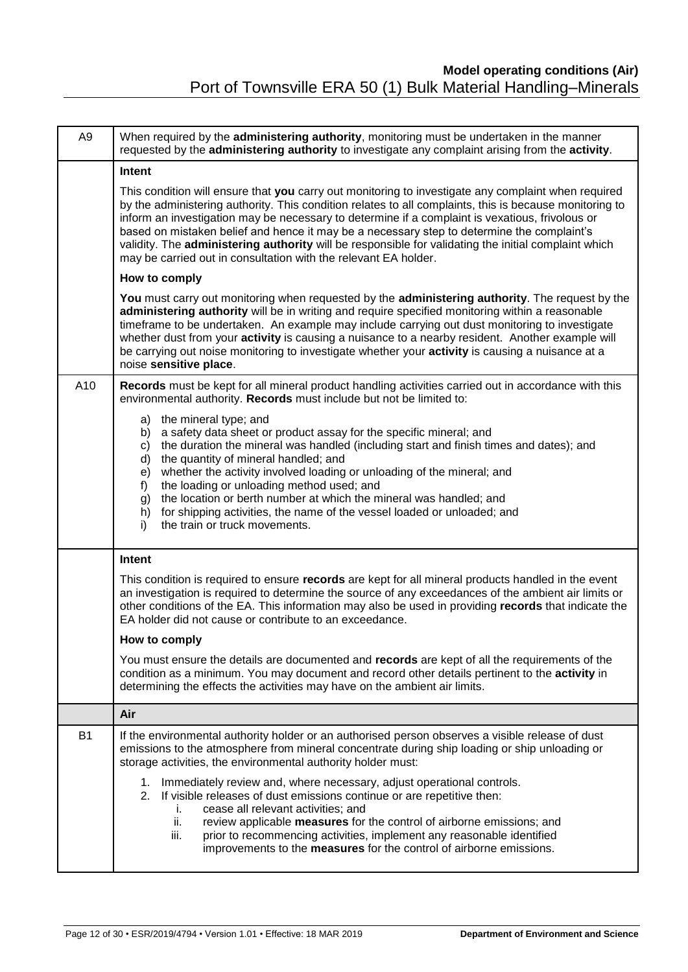| A <sub>9</sub> | When required by the administering authority, monitoring must be undertaken in the manner<br>requested by the administering authority to investigate any complaint arising from the activity.                                                                                                                                                                                                                                                                                                                                                                                              |  |  |  |  |  |  |
|----------------|--------------------------------------------------------------------------------------------------------------------------------------------------------------------------------------------------------------------------------------------------------------------------------------------------------------------------------------------------------------------------------------------------------------------------------------------------------------------------------------------------------------------------------------------------------------------------------------------|--|--|--|--|--|--|
|                | Intent                                                                                                                                                                                                                                                                                                                                                                                                                                                                                                                                                                                     |  |  |  |  |  |  |
|                | This condition will ensure that you carry out monitoring to investigate any complaint when required<br>by the administering authority. This condition relates to all complaints, this is because monitoring to<br>inform an investigation may be necessary to determine if a complaint is vexatious, frivolous or<br>based on mistaken belief and hence it may be a necessary step to determine the complaint's<br>validity. The administering authority will be responsible for validating the initial complaint which<br>may be carried out in consultation with the relevant EA holder. |  |  |  |  |  |  |
|                | How to comply                                                                                                                                                                                                                                                                                                                                                                                                                                                                                                                                                                              |  |  |  |  |  |  |
|                | You must carry out monitoring when requested by the administering authority. The request by the<br>administering authority will be in writing and require specified monitoring within a reasonable<br>timeframe to be undertaken. An example may include carrying out dust monitoring to investigate<br>whether dust from your activity is causing a nuisance to a nearby resident. Another example will<br>be carrying out noise monitoring to investigate whether your activity is causing a nuisance at a<br>noise sensitive place.                                                     |  |  |  |  |  |  |
| A10            | Records must be kept for all mineral product handling activities carried out in accordance with this<br>environmental authority. Records must include but not be limited to:                                                                                                                                                                                                                                                                                                                                                                                                               |  |  |  |  |  |  |
|                | a) the mineral type; and<br>b) a safety data sheet or product assay for the specific mineral; and<br>the duration the mineral was handled (including start and finish times and dates); and<br>C)<br>the quantity of mineral handled; and<br>d)<br>whether the activity involved loading or unloading of the mineral; and<br>e)<br>the loading or unloading method used; and<br>f)<br>the location or berth number at which the mineral was handled; and<br>g)<br>for shipping activities, the name of the vessel loaded or unloaded; and<br>h)<br>the train or truck movements.<br>i)     |  |  |  |  |  |  |
|                | Intent                                                                                                                                                                                                                                                                                                                                                                                                                                                                                                                                                                                     |  |  |  |  |  |  |
|                | This condition is required to ensure records are kept for all mineral products handled in the event<br>an investigation is required to determine the source of any exceedances of the ambient air limits or<br>other conditions of the EA. This information may also be used in providing records that indicate the<br>EA holder did not cause or contribute to an exceedance.                                                                                                                                                                                                             |  |  |  |  |  |  |
|                | How to comply                                                                                                                                                                                                                                                                                                                                                                                                                                                                                                                                                                              |  |  |  |  |  |  |
|                | You must ensure the details are documented and records are kept of all the requirements of the<br>condition as a minimum. You may document and record other details pertinent to the activity in<br>determining the effects the activities may have on the ambient air limits.                                                                                                                                                                                                                                                                                                             |  |  |  |  |  |  |
|                | Air                                                                                                                                                                                                                                                                                                                                                                                                                                                                                                                                                                                        |  |  |  |  |  |  |
| <b>B1</b>      | If the environmental authority holder or an authorised person observes a visible release of dust<br>emissions to the atmosphere from mineral concentrate during ship loading or ship unloading or<br>storage activities, the environmental authority holder must:                                                                                                                                                                                                                                                                                                                          |  |  |  |  |  |  |
|                | 1. Immediately review and, where necessary, adjust operational controls.<br>2. If visible releases of dust emissions continue or are repetitive then:<br>cease all relevant activities; and<br>i.<br>ii.<br>review applicable measures for the control of airborne emissions; and<br>prior to recommencing activities, implement any reasonable identified<br>iii.<br>improvements to the <b>measures</b> for the control of airborne emissions.                                                                                                                                           |  |  |  |  |  |  |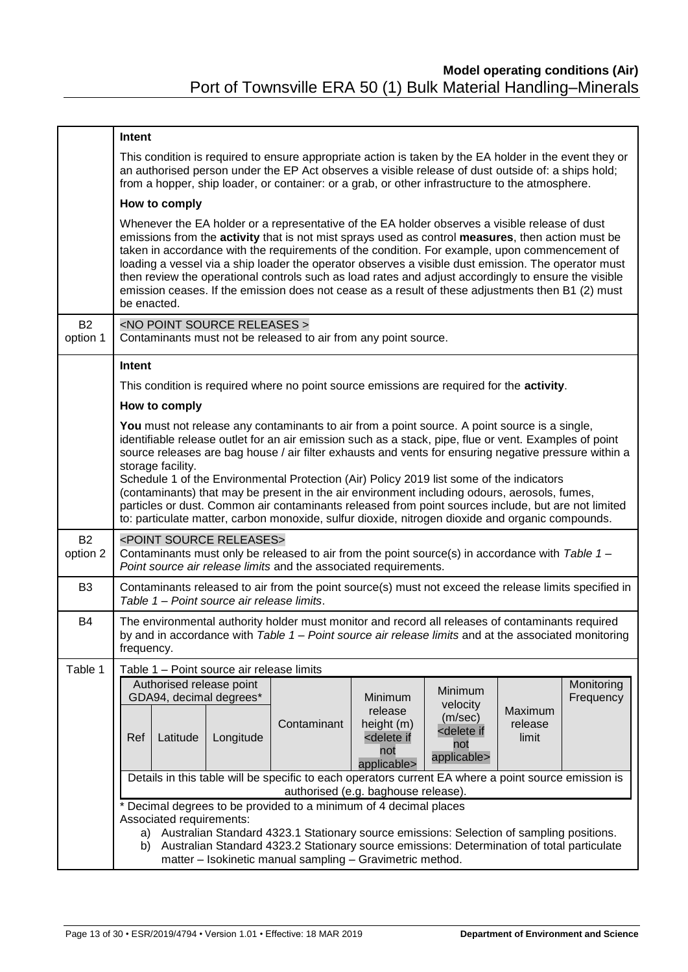|                       | Intent                                                                                                                                                                                                                                                                                                                                                                                                                                                                                                                                                                                                                                                                                                                                       |  |  |  |  |  |  |  |  |
|-----------------------|----------------------------------------------------------------------------------------------------------------------------------------------------------------------------------------------------------------------------------------------------------------------------------------------------------------------------------------------------------------------------------------------------------------------------------------------------------------------------------------------------------------------------------------------------------------------------------------------------------------------------------------------------------------------------------------------------------------------------------------------|--|--|--|--|--|--|--|--|
|                       | This condition is required to ensure appropriate action is taken by the EA holder in the event they or<br>an authorised person under the EP Act observes a visible release of dust outside of: a ships hold;<br>from a hopper, ship loader, or container: or a grab, or other infrastructure to the atmosphere.                                                                                                                                                                                                                                                                                                                                                                                                                              |  |  |  |  |  |  |  |  |
|                       | How to comply                                                                                                                                                                                                                                                                                                                                                                                                                                                                                                                                                                                                                                                                                                                                |  |  |  |  |  |  |  |  |
|                       | Whenever the EA holder or a representative of the EA holder observes a visible release of dust<br>emissions from the activity that is not mist sprays used as control measures, then action must be<br>taken in accordance with the requirements of the condition. For example, upon commencement of<br>loading a vessel via a ship loader the operator observes a visible dust emission. The operator must<br>then review the operational controls such as load rates and adjust accordingly to ensure the visible<br>emission ceases. If the emission does not cease as a result of these adjustments then B1 (2) must<br>be enacted.                                                                                                      |  |  |  |  |  |  |  |  |
| <b>B2</b><br>option 1 | <no point="" releases="" source=""><br/>Contaminants must not be released to air from any point source.</no>                                                                                                                                                                                                                                                                                                                                                                                                                                                                                                                                                                                                                                 |  |  |  |  |  |  |  |  |
|                       | Intent                                                                                                                                                                                                                                                                                                                                                                                                                                                                                                                                                                                                                                                                                                                                       |  |  |  |  |  |  |  |  |
|                       | This condition is required where no point source emissions are required for the activity.                                                                                                                                                                                                                                                                                                                                                                                                                                                                                                                                                                                                                                                    |  |  |  |  |  |  |  |  |
|                       | How to comply                                                                                                                                                                                                                                                                                                                                                                                                                                                                                                                                                                                                                                                                                                                                |  |  |  |  |  |  |  |  |
|                       | You must not release any contaminants to air from a point source. A point source is a single,<br>identifiable release outlet for an air emission such as a stack, pipe, flue or vent. Examples of point<br>source releases are bag house / air filter exhausts and vents for ensuring negative pressure within a<br>storage facility.<br>Schedule 1 of the Environmental Protection (Air) Policy 2019 list some of the indicators<br>(contaminants) that may be present in the air environment including odours, aerosols, fumes,<br>particles or dust. Common air contaminants released from point sources include, but are not limited<br>to: particulate matter, carbon monoxide, sulfur dioxide, nitrogen dioxide and organic compounds. |  |  |  |  |  |  |  |  |
| <b>B2</b><br>option 2 | <point releases="" source=""><br/>Contaminants must only be released to air from the point source(s) in accordance with Table 1 -<br/>Point source air release limits and the associated requirements.</point>                                                                                                                                                                                                                                                                                                                                                                                                                                                                                                                               |  |  |  |  |  |  |  |  |
| B <sub>3</sub>        | Contaminants released to air from the point source(s) must not exceed the release limits specified in<br>Table 1 - Point source air release limits.                                                                                                                                                                                                                                                                                                                                                                                                                                                                                                                                                                                          |  |  |  |  |  |  |  |  |
| B4                    | The environmental authority holder must monitor and record all releases of contaminants required<br>by and in accordance with Table $1 -$ Point source air release limits and at the associated monitoring<br>frequency.                                                                                                                                                                                                                                                                                                                                                                                                                                                                                                                     |  |  |  |  |  |  |  |  |
| Table 1               | Table 1 - Point source air release limits                                                                                                                                                                                                                                                                                                                                                                                                                                                                                                                                                                                                                                                                                                    |  |  |  |  |  |  |  |  |
|                       | Authorised release point<br>Monitoring<br>Minimum<br>GDA94, decimal degrees*<br>Minimum<br>Frequency<br>velocity<br>release<br>Maximum<br>(m/sec)<br>Contaminant<br>height (m)<br>release<br><delete if<br="">Ref<br/>Latitude<br/>Longitude<br/><delete if<br="">limit<br/>not<br/>not<br/>applicable&gt;<br/>applicable&gt;</delete></delete>                                                                                                                                                                                                                                                                                                                                                                                              |  |  |  |  |  |  |  |  |
|                       | Details in this table will be specific to each operators current EA where a point source emission is                                                                                                                                                                                                                                                                                                                                                                                                                                                                                                                                                                                                                                         |  |  |  |  |  |  |  |  |
|                       | authorised (e.g. baghouse release).<br>* Decimal degrees to be provided to a minimum of 4 decimal places<br>Associated requirements:<br>a) Australian Standard 4323.1 Stationary source emissions: Selection of sampling positions.<br>Australian Standard 4323.2 Stationary source emissions: Determination of total particulate<br>b)<br>matter - Isokinetic manual sampling - Gravimetric method.                                                                                                                                                                                                                                                                                                                                         |  |  |  |  |  |  |  |  |
|                       |                                                                                                                                                                                                                                                                                                                                                                                                                                                                                                                                                                                                                                                                                                                                              |  |  |  |  |  |  |  |  |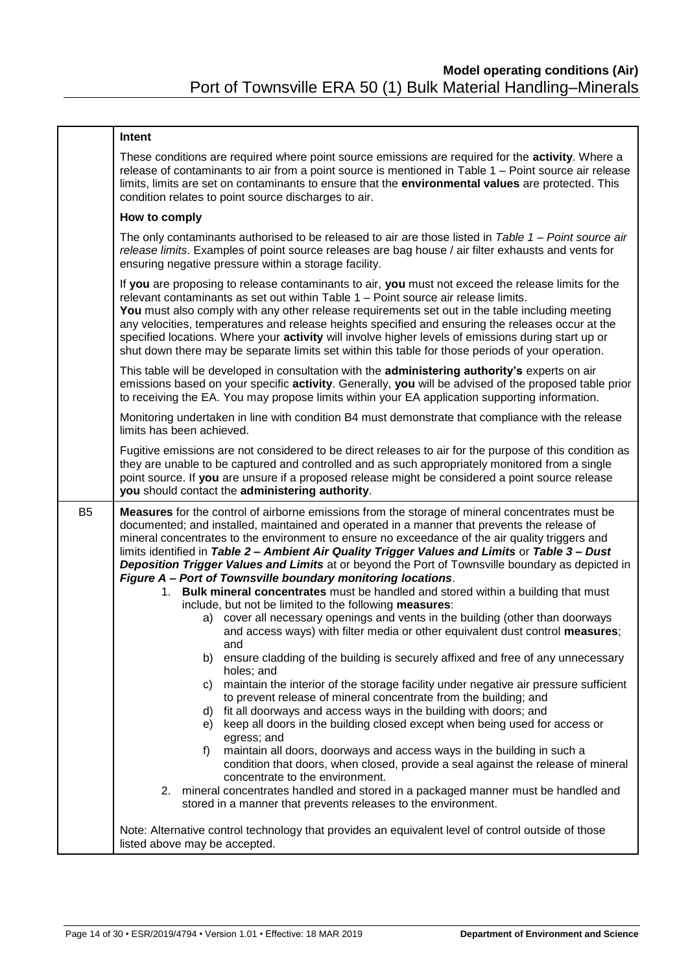|                | Intent                                                                                                                                                                                                                                                                                                                                                                                                                                                                                                                                                                                                                                                                                                                                                                                                                                                                                                                                                                                                                                                                                                                                                                                                                                                                                                                                                                                                                                                                                                                                                                                                                                                                                                                            |  |  |  |  |  |
|----------------|-----------------------------------------------------------------------------------------------------------------------------------------------------------------------------------------------------------------------------------------------------------------------------------------------------------------------------------------------------------------------------------------------------------------------------------------------------------------------------------------------------------------------------------------------------------------------------------------------------------------------------------------------------------------------------------------------------------------------------------------------------------------------------------------------------------------------------------------------------------------------------------------------------------------------------------------------------------------------------------------------------------------------------------------------------------------------------------------------------------------------------------------------------------------------------------------------------------------------------------------------------------------------------------------------------------------------------------------------------------------------------------------------------------------------------------------------------------------------------------------------------------------------------------------------------------------------------------------------------------------------------------------------------------------------------------------------------------------------------------|--|--|--|--|--|
|                | These conditions are required where point source emissions are required for the activity. Where a<br>release of contaminants to air from a point source is mentioned in Table 1 - Point source air release<br>limits, limits are set on contaminants to ensure that the environmental values are protected. This<br>condition relates to point source discharges to air.                                                                                                                                                                                                                                                                                                                                                                                                                                                                                                                                                                                                                                                                                                                                                                                                                                                                                                                                                                                                                                                                                                                                                                                                                                                                                                                                                          |  |  |  |  |  |
|                | How to comply                                                                                                                                                                                                                                                                                                                                                                                                                                                                                                                                                                                                                                                                                                                                                                                                                                                                                                                                                                                                                                                                                                                                                                                                                                                                                                                                                                                                                                                                                                                                                                                                                                                                                                                     |  |  |  |  |  |
|                | The only contaminants authorised to be released to air are those listed in Table $1 - Point$ source air<br>release limits. Examples of point source releases are bag house / air filter exhausts and vents for<br>ensuring negative pressure within a storage facility.                                                                                                                                                                                                                                                                                                                                                                                                                                                                                                                                                                                                                                                                                                                                                                                                                                                                                                                                                                                                                                                                                                                                                                                                                                                                                                                                                                                                                                                           |  |  |  |  |  |
|                | If you are proposing to release contaminants to air, you must not exceed the release limits for the<br>relevant contaminants as set out within Table 1 - Point source air release limits.<br>You must also comply with any other release requirements set out in the table including meeting<br>any velocities, temperatures and release heights specified and ensuring the releases occur at the<br>specified locations. Where your activity will involve higher levels of emissions during start up or<br>shut down there may be separate limits set within this table for those periods of your operation.                                                                                                                                                                                                                                                                                                                                                                                                                                                                                                                                                                                                                                                                                                                                                                                                                                                                                                                                                                                                                                                                                                                     |  |  |  |  |  |
|                | This table will be developed in consultation with the administering authority's experts on air<br>emissions based on your specific activity. Generally, you will be advised of the proposed table prior<br>to receiving the EA. You may propose limits within your EA application supporting information.                                                                                                                                                                                                                                                                                                                                                                                                                                                                                                                                                                                                                                                                                                                                                                                                                                                                                                                                                                                                                                                                                                                                                                                                                                                                                                                                                                                                                         |  |  |  |  |  |
|                | Monitoring undertaken in line with condition B4 must demonstrate that compliance with the release<br>limits has been achieved.                                                                                                                                                                                                                                                                                                                                                                                                                                                                                                                                                                                                                                                                                                                                                                                                                                                                                                                                                                                                                                                                                                                                                                                                                                                                                                                                                                                                                                                                                                                                                                                                    |  |  |  |  |  |
|                | Fugitive emissions are not considered to be direct releases to air for the purpose of this condition as<br>they are unable to be captured and controlled and as such appropriately monitored from a single<br>point source. If you are unsure if a proposed release might be considered a point source release<br>you should contact the administering authority.                                                                                                                                                                                                                                                                                                                                                                                                                                                                                                                                                                                                                                                                                                                                                                                                                                                                                                                                                                                                                                                                                                                                                                                                                                                                                                                                                                 |  |  |  |  |  |
| B <sub>5</sub> | <b>Measures</b> for the control of airborne emissions from the storage of mineral concentrates must be<br>documented; and installed, maintained and operated in a manner that prevents the release of<br>mineral concentrates to the environment to ensure no exceedance of the air quality triggers and<br>limits identified in Table 2 - Ambient Air Quality Trigger Values and Limits or Table 3 - Dust<br>Deposition Trigger Values and Limits at or beyond the Port of Townsville boundary as depicted in<br>Figure A - Port of Townsville boundary monitoring locations.<br>Bulk mineral concentrates must be handled and stored within a building that must<br>1.<br>include, but not be limited to the following measures:<br>a) cover all necessary openings and vents in the building (other than doorways<br>and access ways) with filter media or other equivalent dust control measures;<br>and<br>ensure cladding of the building is securely affixed and free of any unnecessary<br>b)<br>holes; and<br>maintain the interior of the storage facility under negative air pressure sufficient<br>C)<br>to prevent release of mineral concentrate from the building; and<br>fit all doorways and access ways in the building with doors; and<br>d)<br>keep all doors in the building closed except when being used for access or<br>e)<br>egress; and<br>maintain all doors, doorways and access ways in the building in such a<br>f)<br>condition that doors, when closed, provide a seal against the release of mineral<br>concentrate to the environment.<br>2. mineral concentrates handled and stored in a packaged manner must be handled and<br>stored in a manner that prevents releases to the environment. |  |  |  |  |  |
|                | Note: Alternative control technology that provides an equivalent level of control outside of those<br>listed above may be accepted.                                                                                                                                                                                                                                                                                                                                                                                                                                                                                                                                                                                                                                                                                                                                                                                                                                                                                                                                                                                                                                                                                                                                                                                                                                                                                                                                                                                                                                                                                                                                                                                               |  |  |  |  |  |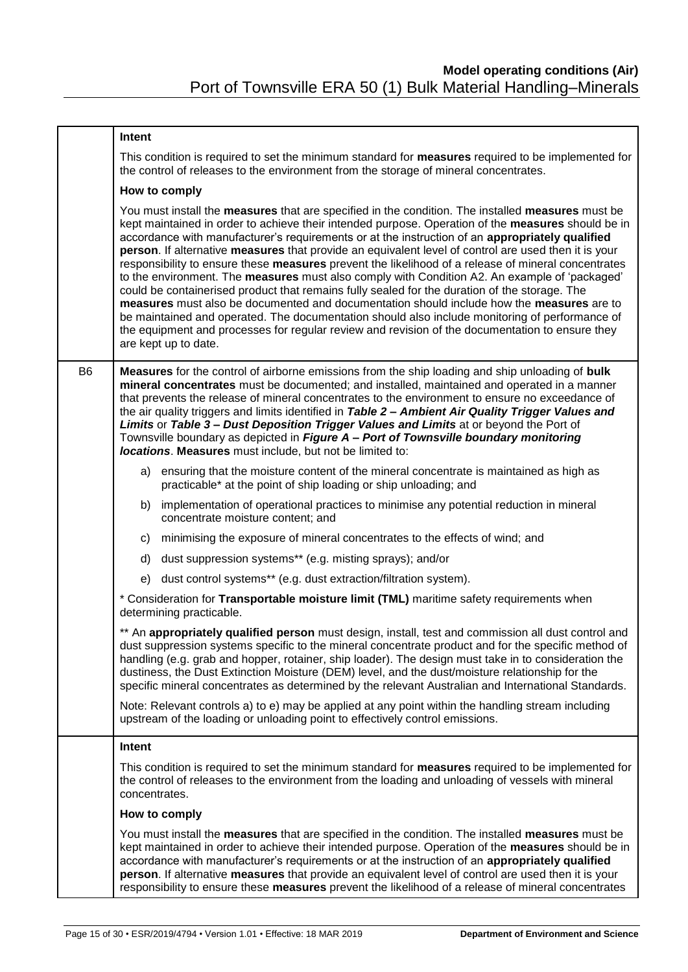|                | Intent                                                                                                                                                                                                                                                                                                                                                                                                                                                                                                                                                                                                                                                                                                                                                                                                                                                                                                                                                                                                                                                |  |  |  |  |  |
|----------------|-------------------------------------------------------------------------------------------------------------------------------------------------------------------------------------------------------------------------------------------------------------------------------------------------------------------------------------------------------------------------------------------------------------------------------------------------------------------------------------------------------------------------------------------------------------------------------------------------------------------------------------------------------------------------------------------------------------------------------------------------------------------------------------------------------------------------------------------------------------------------------------------------------------------------------------------------------------------------------------------------------------------------------------------------------|--|--|--|--|--|
|                | This condition is required to set the minimum standard for measures required to be implemented for<br>the control of releases to the environment from the storage of mineral concentrates.                                                                                                                                                                                                                                                                                                                                                                                                                                                                                                                                                                                                                                                                                                                                                                                                                                                            |  |  |  |  |  |
|                | How to comply                                                                                                                                                                                                                                                                                                                                                                                                                                                                                                                                                                                                                                                                                                                                                                                                                                                                                                                                                                                                                                         |  |  |  |  |  |
|                | You must install the measures that are specified in the condition. The installed measures must be<br>kept maintained in order to achieve their intended purpose. Operation of the measures should be in<br>accordance with manufacturer's requirements or at the instruction of an appropriately qualified<br>person. If alternative measures that provide an equivalent level of control are used then it is your<br>responsibility to ensure these measures prevent the likelihood of a release of mineral concentrates<br>to the environment. The measures must also comply with Condition A2. An example of 'packaged'<br>could be containerised product that remains fully sealed for the duration of the storage. The<br>measures must also be documented and documentation should include how the measures are to<br>be maintained and operated. The documentation should also include monitoring of performance of<br>the equipment and processes for regular review and revision of the documentation to ensure they<br>are kept up to date. |  |  |  |  |  |
| B <sub>6</sub> | Measures for the control of airborne emissions from the ship loading and ship unloading of bulk<br>mineral concentrates must be documented; and installed, maintained and operated in a manner<br>that prevents the release of mineral concentrates to the environment to ensure no exceedance of<br>the air quality triggers and limits identified in Table 2 - Ambient Air Quality Trigger Values and<br>Limits or Table 3 - Dust Deposition Trigger Values and Limits at or beyond the Port of<br>Townsville boundary as depicted in Figure A - Port of Townsville boundary monitoring<br>locations. Measures must include, but not be limited to:                                                                                                                                                                                                                                                                                                                                                                                                 |  |  |  |  |  |
|                | a) ensuring that the moisture content of the mineral concentrate is maintained as high as<br>practicable* at the point of ship loading or ship unloading; and                                                                                                                                                                                                                                                                                                                                                                                                                                                                                                                                                                                                                                                                                                                                                                                                                                                                                         |  |  |  |  |  |
|                | b) implementation of operational practices to minimise any potential reduction in mineral<br>concentrate moisture content; and                                                                                                                                                                                                                                                                                                                                                                                                                                                                                                                                                                                                                                                                                                                                                                                                                                                                                                                        |  |  |  |  |  |
|                | c) minimising the exposure of mineral concentrates to the effects of wind; and                                                                                                                                                                                                                                                                                                                                                                                                                                                                                                                                                                                                                                                                                                                                                                                                                                                                                                                                                                        |  |  |  |  |  |
|                | d) dust suppression systems** (e.g. misting sprays); and/or                                                                                                                                                                                                                                                                                                                                                                                                                                                                                                                                                                                                                                                                                                                                                                                                                                                                                                                                                                                           |  |  |  |  |  |
|                | dust control systems** (e.g. dust extraction/filtration system).<br>e)                                                                                                                                                                                                                                                                                                                                                                                                                                                                                                                                                                                                                                                                                                                                                                                                                                                                                                                                                                                |  |  |  |  |  |
|                | * Consideration for Transportable moisture limit (TML) maritime safety requirements when<br>determining practicable.                                                                                                                                                                                                                                                                                                                                                                                                                                                                                                                                                                                                                                                                                                                                                                                                                                                                                                                                  |  |  |  |  |  |
|                | ** An appropriately qualified person must design, install, test and commission all dust control and<br>dust suppression systems specific to the mineral concentrate product and for the specific method of<br>handling (e.g. grab and hopper, rotainer, ship loader). The design must take in to consideration the<br>dustiness, the Dust Extinction Moisture (DEM) level, and the dust/moisture relationship for the<br>specific mineral concentrates as determined by the relevant Australian and International Standards.                                                                                                                                                                                                                                                                                                                                                                                                                                                                                                                          |  |  |  |  |  |
|                | Note: Relevant controls a) to e) may be applied at any point within the handling stream including<br>upstream of the loading or unloading point to effectively control emissions.                                                                                                                                                                                                                                                                                                                                                                                                                                                                                                                                                                                                                                                                                                                                                                                                                                                                     |  |  |  |  |  |
|                | Intent                                                                                                                                                                                                                                                                                                                                                                                                                                                                                                                                                                                                                                                                                                                                                                                                                                                                                                                                                                                                                                                |  |  |  |  |  |
|                | This condition is required to set the minimum standard for measures required to be implemented for<br>the control of releases to the environment from the loading and unloading of vessels with mineral<br>concentrates.                                                                                                                                                                                                                                                                                                                                                                                                                                                                                                                                                                                                                                                                                                                                                                                                                              |  |  |  |  |  |
|                | How to comply                                                                                                                                                                                                                                                                                                                                                                                                                                                                                                                                                                                                                                                                                                                                                                                                                                                                                                                                                                                                                                         |  |  |  |  |  |
|                | You must install the measures that are specified in the condition. The installed measures must be<br>kept maintained in order to achieve their intended purpose. Operation of the measures should be in<br>accordance with manufacturer's requirements or at the instruction of an appropriately qualified<br>person. If alternative measures that provide an equivalent level of control are used then it is your<br>responsibility to ensure these measures prevent the likelihood of a release of mineral concentrates                                                                                                                                                                                                                                                                                                                                                                                                                                                                                                                             |  |  |  |  |  |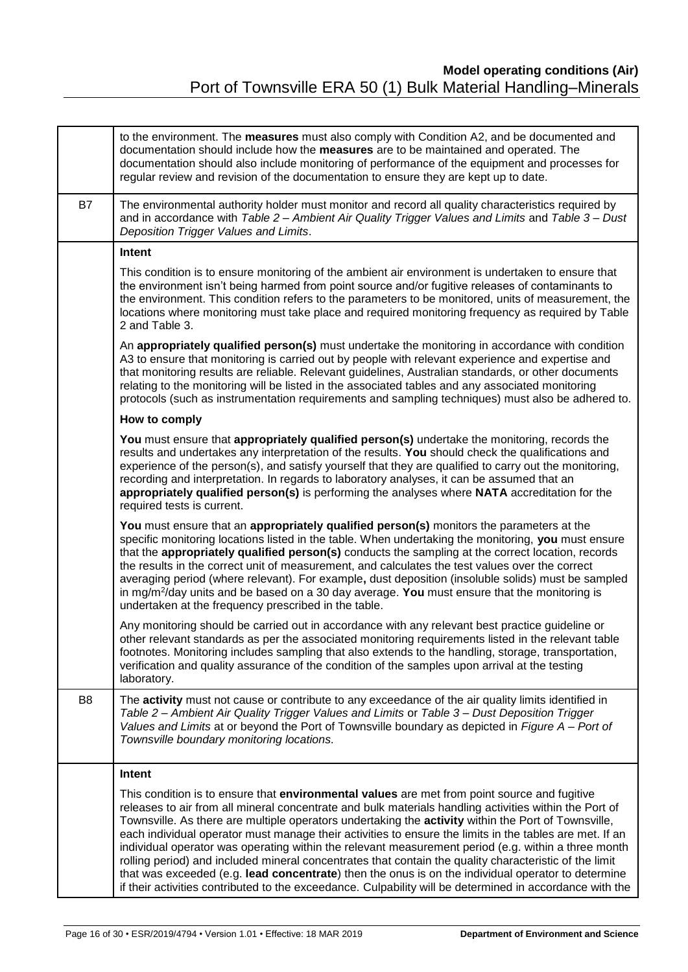|                | to the environment. The measures must also comply with Condition A2, and be documented and<br>documentation should include how the measures are to be maintained and operated. The<br>documentation should also include monitoring of performance of the equipment and processes for<br>regular review and revision of the documentation to ensure they are kept up to date.                                                                                                                                                                                                                                                                                                                                                                                                                                                                                |
|----------------|-------------------------------------------------------------------------------------------------------------------------------------------------------------------------------------------------------------------------------------------------------------------------------------------------------------------------------------------------------------------------------------------------------------------------------------------------------------------------------------------------------------------------------------------------------------------------------------------------------------------------------------------------------------------------------------------------------------------------------------------------------------------------------------------------------------------------------------------------------------|
| <b>B7</b>      | The environmental authority holder must monitor and record all quality characteristics required by<br>and in accordance with Table 2 - Ambient Air Quality Trigger Values and Limits and Table 3 - Dust<br>Deposition Trigger Values and Limits.                                                                                                                                                                                                                                                                                                                                                                                                                                                                                                                                                                                                            |
|                | Intent                                                                                                                                                                                                                                                                                                                                                                                                                                                                                                                                                                                                                                                                                                                                                                                                                                                      |
|                | This condition is to ensure monitoring of the ambient air environment is undertaken to ensure that<br>the environment isn't being harmed from point source and/or fugitive releases of contaminants to<br>the environment. This condition refers to the parameters to be monitored, units of measurement, the<br>locations where monitoring must take place and required monitoring frequency as required by Table<br>2 and Table 3.                                                                                                                                                                                                                                                                                                                                                                                                                        |
|                | An appropriately qualified person(s) must undertake the monitoring in accordance with condition<br>A3 to ensure that monitoring is carried out by people with relevant experience and expertise and<br>that monitoring results are reliable. Relevant guidelines, Australian standards, or other documents<br>relating to the monitoring will be listed in the associated tables and any associated monitoring<br>protocols (such as instrumentation requirements and sampling techniques) must also be adhered to.                                                                                                                                                                                                                                                                                                                                         |
|                | How to comply                                                                                                                                                                                                                                                                                                                                                                                                                                                                                                                                                                                                                                                                                                                                                                                                                                               |
|                | You must ensure that appropriately qualified person(s) undertake the monitoring, records the<br>results and undertakes any interpretation of the results. You should check the qualifications and<br>experience of the person(s), and satisfy yourself that they are qualified to carry out the monitoring,<br>recording and interpretation. In regards to laboratory analyses, it can be assumed that an<br>appropriately qualified person(s) is performing the analyses where NATA accreditation for the<br>required tests is current.                                                                                                                                                                                                                                                                                                                    |
|                | You must ensure that an appropriately qualified person(s) monitors the parameters at the<br>specific monitoring locations listed in the table. When undertaking the monitoring, you must ensure<br>that the appropriately qualified person(s) conducts the sampling at the correct location, records<br>the results in the correct unit of measurement, and calculates the test values over the correct<br>averaging period (where relevant). For example, dust deposition (insoluble solids) must be sampled<br>in mg/m <sup>2</sup> /day units and be based on a 30 day average. You must ensure that the monitoring is<br>undertaken at the frequency prescribed in the table.                                                                                                                                                                           |
|                | Any monitoring should be carried out in accordance with any relevant best practice guideline or<br>other relevant standards as per the associated monitoring requirements listed in the relevant table<br>footnotes. Monitoring includes sampling that also extends to the handling, storage, transportation,<br>verification and quality assurance of the condition of the samples upon arrival at the testing<br>laboratory.                                                                                                                                                                                                                                                                                                                                                                                                                              |
| B <sub>8</sub> | The activity must not cause or contribute to any exceedance of the air quality limits identified in<br>Table 2 – Ambient Air Quality Trigger Values and Limits or Table 3 – Dust Deposition Trigger<br>Values and Limits at or beyond the Port of Townsville boundary as depicted in Figure A - Port of<br>Townsville boundary monitoring locations.                                                                                                                                                                                                                                                                                                                                                                                                                                                                                                        |
|                | Intent                                                                                                                                                                                                                                                                                                                                                                                                                                                                                                                                                                                                                                                                                                                                                                                                                                                      |
|                | This condition is to ensure that environmental values are met from point source and fugitive<br>releases to air from all mineral concentrate and bulk materials handling activities within the Port of<br>Townsville. As there are multiple operators undertaking the activity within the Port of Townsville,<br>each individual operator must manage their activities to ensure the limits in the tables are met. If an<br>individual operator was operating within the relevant measurement period (e.g. within a three month<br>rolling period) and included mineral concentrates that contain the quality characteristic of the limit<br>that was exceeded (e.g. lead concentrate) then the onus is on the individual operator to determine<br>if their activities contributed to the exceedance. Culpability will be determined in accordance with the |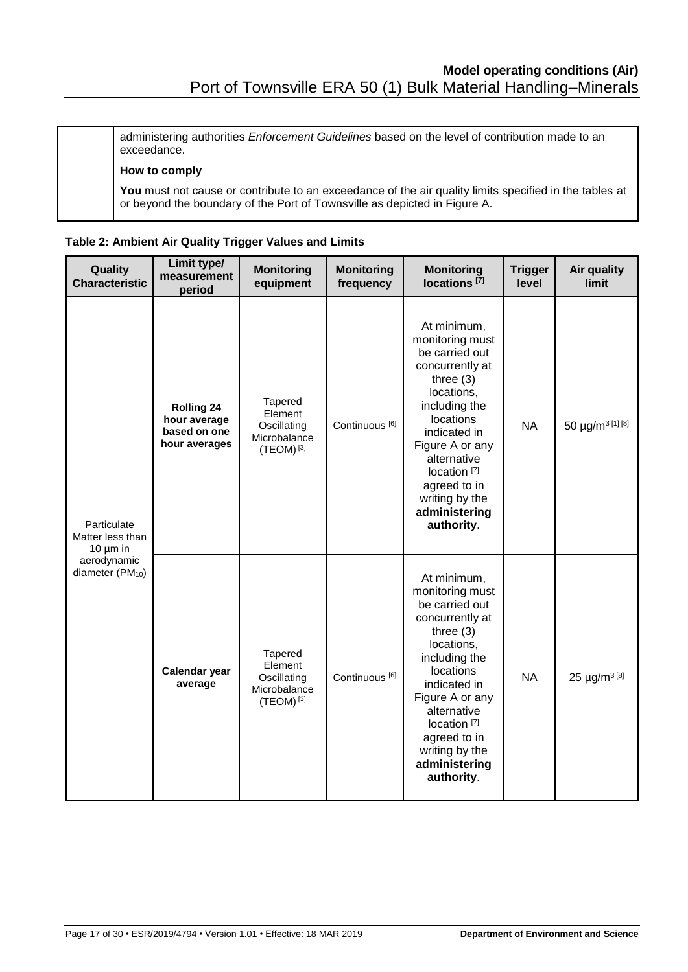administering authorities *Enforcement Guidelines* based on the level of contribution made to an exceedance.

#### **How to comply**

You must not cause or contribute to an exceedance of the air quality limits specified in the tables at or beyond the boundary of the Port of Townsville as depicted in Figure A.

| Table 2: Ambient Air Quality Trigger Values and Limits |  |  |  |
|--------------------------------------------------------|--|--|--|
|                                                        |  |  |  |

| Quality<br><b>Characteristic</b>                                                                | Limit type/<br>measurement<br>period                               | <b>Monitoring</b><br>equipment                                      | <b>Monitoring</b><br>frequency | <b>Monitoring</b><br>locations $[\bar{7}]$                                                                                                                                                                                                                                          | <b>Trigger</b><br>level | Air quality<br>limit         |
|-------------------------------------------------------------------------------------------------|--------------------------------------------------------------------|---------------------------------------------------------------------|--------------------------------|-------------------------------------------------------------------------------------------------------------------------------------------------------------------------------------------------------------------------------------------------------------------------------------|-------------------------|------------------------------|
| Particulate<br>Matter less than<br>10 $\mu$ m in<br>aerodynamic<br>diameter (PM <sub>10</sub> ) | <b>Rolling 24</b><br>hour average<br>based on one<br>hour averages | Tapered<br>Element<br>Oscillating<br>Microbalance<br>$(TEOM)^{[3]}$ | Continuous <sup>[6]</sup>      | At minimum,<br>monitoring must<br>be carried out<br>concurrently at<br>three $(3)$<br>locations,<br>including the<br>locations<br>indicated in<br>Figure A or any<br>alternative<br>location <sup>[7]</sup><br>agreed to in<br>writing by the<br>administering<br>authority.        | <b>NA</b>               | 50 µg/m <sup>3 [1] [8]</sup> |
|                                                                                                 | Calendar year<br>average                                           | Tapered<br>Element<br>Oscillating<br>Microbalance<br>$(TEOM)^{[3]}$ | Continuous <sup>[6]</sup>      | At minimum,<br>monitoring must<br>be carried out<br>concurrently at<br>three $(3)$<br>locations,<br>including the<br><b>locations</b><br>indicated in<br>Figure A or any<br>alternative<br>location <sup>[7]</sup><br>agreed to in<br>writing by the<br>administering<br>authority. | <b>NA</b>               | 25 µg/m <sup>3[8]</sup>      |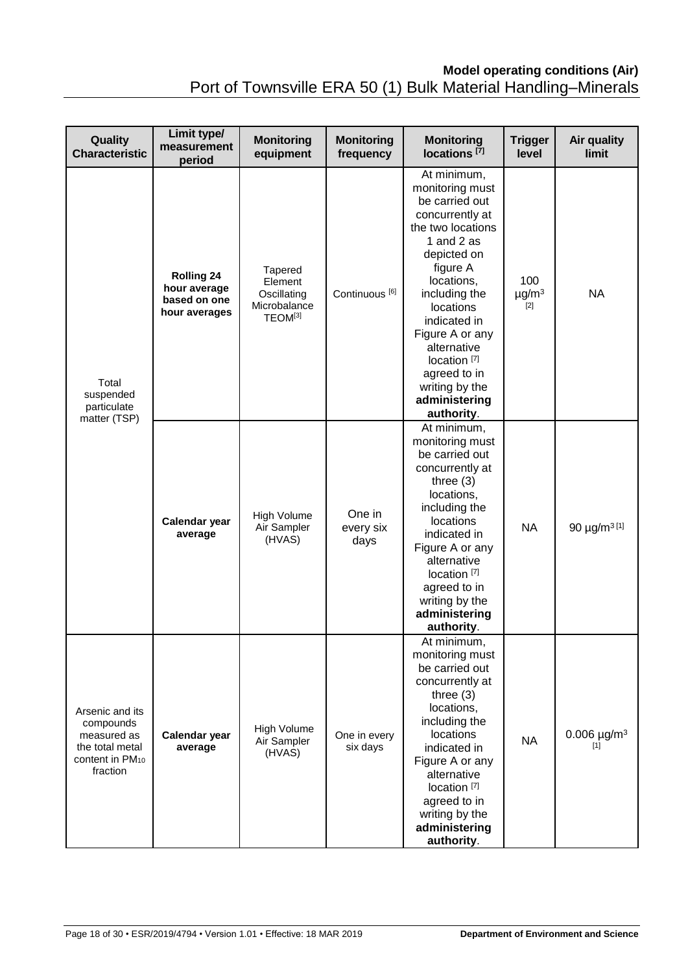# **Model operating conditions (Air)**

|  | Port of Townsville ERA 50 (1) Bulk Material Handling-Minerals |
|--|---------------------------------------------------------------|
|--|---------------------------------------------------------------|

| Quality<br><b>Characteristic</b>                                                              | Limit type/<br>measurement<br>period                               | <b>Monitoring</b><br>equipment                                           | <b>Monitoring</b><br>frequency | <b>Monitoring</b><br>locations <sup>[7]</sup>                                                                                                                                                                                                                                                                               | <b>Trigger</b><br>level                | <b>Air quality</b><br>limit         |
|-----------------------------------------------------------------------------------------------|--------------------------------------------------------------------|--------------------------------------------------------------------------|--------------------------------|-----------------------------------------------------------------------------------------------------------------------------------------------------------------------------------------------------------------------------------------------------------------------------------------------------------------------------|----------------------------------------|-------------------------------------|
| Total<br>suspended<br>particulate<br>matter (TSP)                                             | <b>Rolling 24</b><br>hour average<br>based on one<br>hour averages | Tapered<br>Element<br>Oscillating<br>Microbalance<br>TEOM <sup>[3]</sup> | Continuous <sup>[6]</sup>      | At minimum,<br>monitoring must<br>be carried out<br>concurrently at<br>the two locations<br>1 and 2 as<br>depicted on<br>figure A<br>locations,<br>including the<br>locations<br>indicated in<br>Figure A or any<br>alternative<br>location <sup>[7]</sup><br>agreed to in<br>writing by the<br>administering<br>authority. | 100<br>$\mu$ g/m <sup>3</sup><br>$[2]$ | <b>NA</b>                           |
|                                                                                               | Calendar year<br>average                                           | High Volume<br>Air Sampler<br>(HVAS)                                     | One in<br>every six<br>days    | At minimum,<br>monitoring must<br>be carried out<br>concurrently at<br>three $(3)$<br>locations,<br>including the<br>locations<br>indicated in<br>Figure A or any<br>alternative<br>location <sup>[7]</sup><br>agreed to in<br>writing by the<br>administering<br>authority.                                                | <b>NA</b>                              | 90 $\mu$ g/m <sup>3[1]</sup>        |
| Arsenic and its<br>compounds<br>measured as<br>the total metal<br>content in PM10<br>fraction | Calendar year<br>average                                           | <b>High Volume</b><br>Air Sampler<br>(HVAS)                              | One in every<br>six days       | At minimum,<br>monitoring must<br>be carried out<br>concurrently at<br>three $(3)$<br>locations,<br>including the<br>locations<br>indicated in<br>Figure A or any<br>alternative<br>location <sup>[7]</sup><br>agreed to in<br>writing by the<br>administering<br>authority.                                                | <b>NA</b>                              | 0.006 $\mu$ g/m <sup>3</sup><br>[1] |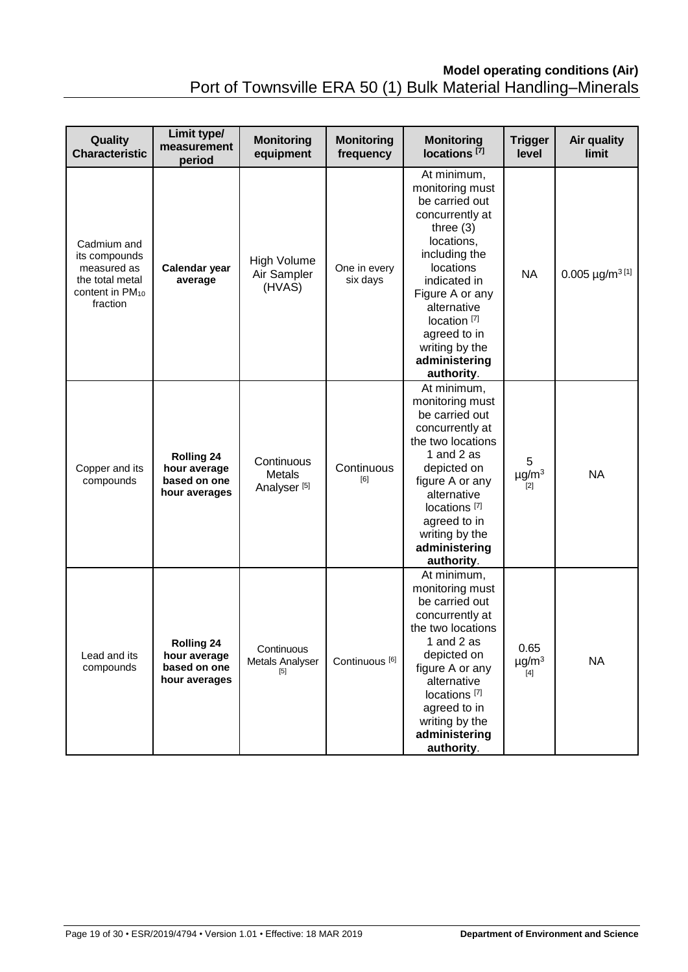## **Model operating conditions (Air)** Port of Townsville ERA 50 (1) Bulk Material Handling–Minerals

| Quality<br><b>Characteristic</b>                                                                          | Limit type/<br>measurement<br>period                               | <b>Monitoring</b><br>equipment                  | <b>Monitoring</b><br>frequency | <b>Monitoring</b><br>locations <sup>[7]</sup>                                                                                                                                                                                                                                | <b>Trigger</b><br>level                 | <b>Air quality</b><br>limit |
|-----------------------------------------------------------------------------------------------------------|--------------------------------------------------------------------|-------------------------------------------------|--------------------------------|------------------------------------------------------------------------------------------------------------------------------------------------------------------------------------------------------------------------------------------------------------------------------|-----------------------------------------|-----------------------------|
| Cadmium and<br>its compounds<br>measured as<br>the total metal<br>content in PM <sub>10</sub><br>fraction | Calendar year<br>average                                           | High Volume<br>Air Sampler<br>(HVAS)            | One in every<br>six days       | At minimum,<br>monitoring must<br>be carried out<br>concurrently at<br>three $(3)$<br>locations,<br>including the<br>locations<br>indicated in<br>Figure A or any<br>alternative<br>location <sup>[7]</sup><br>agreed to in<br>writing by the<br>administering<br>authority. | <b>NA</b>                               | $0.005 \mu g/m^3$ [1]       |
| Copper and its<br>compounds                                                                               | <b>Rolling 24</b><br>hour average<br>based on one<br>hour averages | Continuous<br>Metals<br>Analyser <sup>[5]</sup> | Continuous<br>[6]              | At minimum,<br>monitoring must<br>be carried out<br>concurrently at<br>the two locations<br>1 and 2 as<br>depicted on<br>figure A or any<br>alternative<br>locations <sup>[7]</sup><br>agreed to in<br>writing by the<br>administering<br>authority.                         | 5<br>$\mu$ g/m $3$<br>$[2]$             | <b>NA</b>                   |
| Lead and its<br>compounds                                                                                 | <b>Rolling 24</b><br>hour average<br>based on one<br>hour averages | Continuous<br>Metals Analyser<br>[5]            | Continuous <sup>[6]</sup>      | At minimum,<br>monitoring must<br>be carried out<br>concurrently at<br>the two locations<br>1 and 2 as<br>depicted on<br>figure A or any<br>alternative<br>locations <sup>[7]</sup><br>agreed to in<br>writing by the<br>administering<br>authority.                         | 0.65<br>$\mu$ g/m <sup>3</sup><br>$[4]$ | <b>NA</b>                   |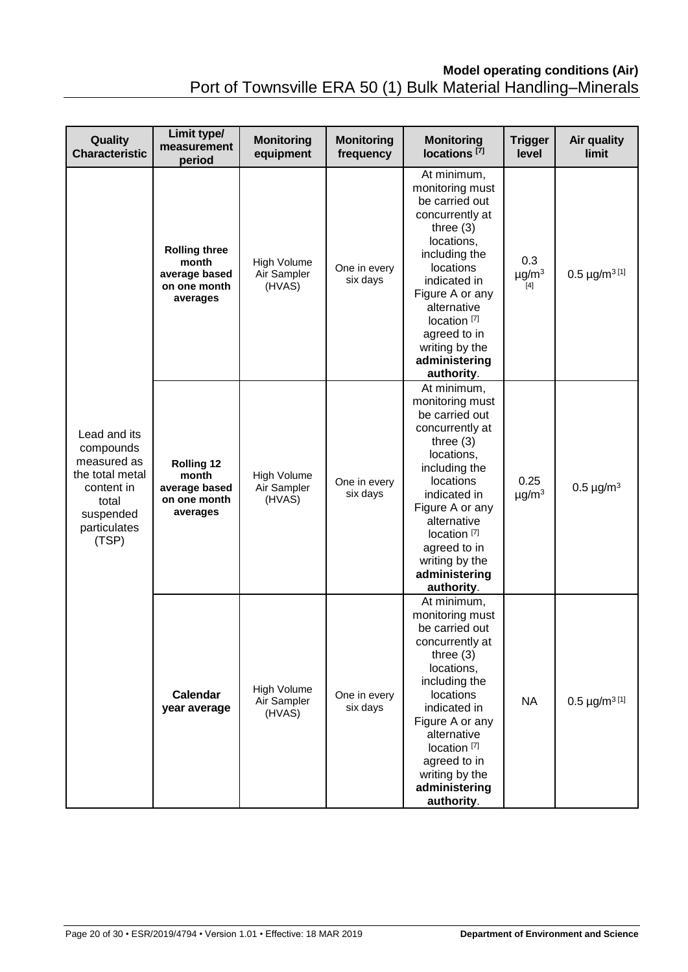# **Model operating conditions (Air)**

Port of Townsville ERA 50 (1) Bulk Material Handling–Minerals

| Quality<br><b>Characteristic</b>                                                                                         | Limit type/<br>measurement<br>period                                       | <b>Monitoring</b><br>equipment       | <b>Monitoring</b><br>frequency | <b>Monitoring</b><br>locations <sup>[7]</sup>                                                                                                                                                                                                                                | <b>Trigger</b><br>level              | Air quality<br>limit    |
|--------------------------------------------------------------------------------------------------------------------------|----------------------------------------------------------------------------|--------------------------------------|--------------------------------|------------------------------------------------------------------------------------------------------------------------------------------------------------------------------------------------------------------------------------------------------------------------------|--------------------------------------|-------------------------|
| Lead and its<br>compounds<br>measured as<br>the total metal<br>content in<br>total<br>suspended<br>particulates<br>(TSP) | <b>Rolling three</b><br>month<br>average based<br>on one month<br>averages | High Volume<br>Air Sampler<br>(HVAS) | One in every<br>six days       | At minimum,<br>monitoring must<br>be carried out<br>concurrently at<br>three $(3)$<br>locations,<br>including the<br>locations<br>indicated in<br>Figure A or any<br>alternative<br>location <sup>[7]</sup><br>agreed to in<br>writing by the<br>administering<br>authority. | 0.3<br>$\mu$ g/m <sup>3</sup><br>[4] | $0.5 \mu g/m^3$ [1]     |
|                                                                                                                          | <b>Rolling 12</b><br>month<br>average based<br>on one month<br>averages    | High Volume<br>Air Sampler<br>(HVAS) | One in every<br>six days       | At minimum,<br>monitoring must<br>be carried out<br>concurrently at<br>three $(3)$<br>locations,<br>including the<br>locations<br>indicated in<br>Figure A or any<br>alternative<br>location <sup>[7]</sup><br>agreed to in<br>writing by the<br>administering<br>authority. | 0.25<br>$\mu$ g/m <sup>3</sup>       | $0.5 \mu g/m^3$         |
|                                                                                                                          | Calendar<br>year average                                                   | High Volume<br>Air Sampler<br>(HVAS) | One in every<br>six days       | At minimum,<br>monitoring must<br>be carried out<br>concurrently at<br>three $(3)$<br>locations,<br>including the<br>locations<br>indicated in<br>Figure A or any<br>alternative<br>location <sup>[7]</sup><br>agreed to in<br>writing by the<br>administering<br>authority. | <b>NA</b>                            | $0.5 \,\mu g/m^{3}$ [1] |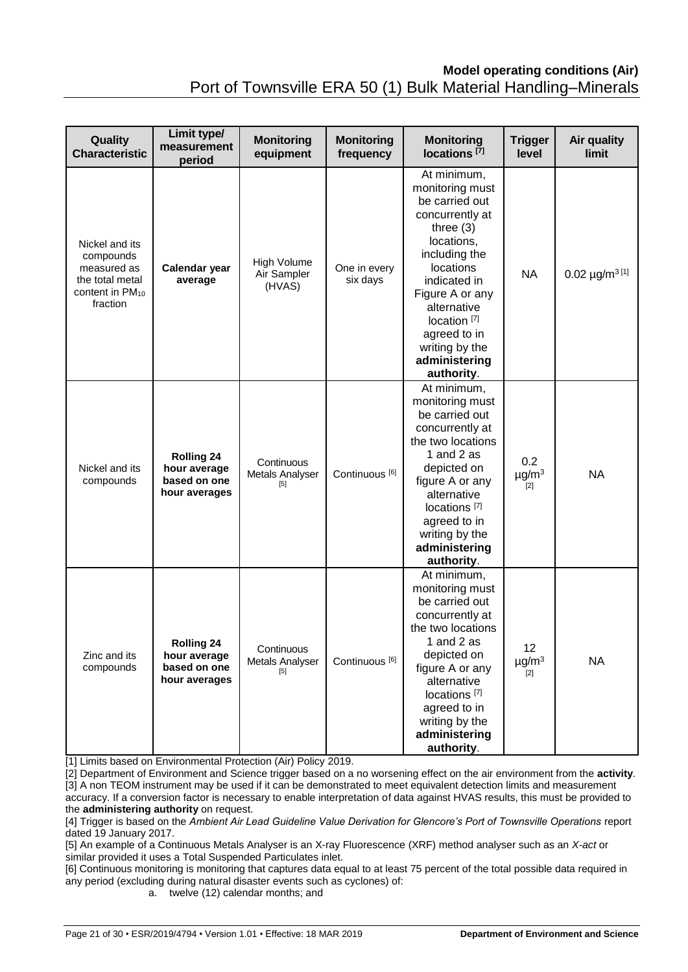### **Model operating conditions (Air)** Port of Townsville ERA 50 (1) Bulk Material Handling–Minerals

| Quality<br><b>Characteristic</b>                                                                         | Limit type/<br>measurement<br>period                               | <b>Monitoring</b><br>equipment              | <b>Monitoring</b><br>frequency | <b>Monitoring</b><br>$locations$ <sup>[7]</sup>                                                                                                                                                                                                                              | <b>Trigger</b><br>level                | <b>Air quality</b><br>limit |
|----------------------------------------------------------------------------------------------------------|--------------------------------------------------------------------|---------------------------------------------|--------------------------------|------------------------------------------------------------------------------------------------------------------------------------------------------------------------------------------------------------------------------------------------------------------------------|----------------------------------------|-----------------------------|
| Nickel and its<br>compounds<br>measured as<br>the total metal<br>content in PM <sub>10</sub><br>fraction | Calendar year<br>average                                           | <b>High Volume</b><br>Air Sampler<br>(HVAS) | One in every<br>six days       | At minimum,<br>monitoring must<br>be carried out<br>concurrently at<br>three $(3)$<br>locations,<br>including the<br>locations<br>indicated in<br>Figure A or any<br>alternative<br>location <sup>[7]</sup><br>agreed to in<br>writing by the<br>administering<br>authority. | <b>NA</b>                              | $0.02 \mu g/m^3$ [1]        |
| Nickel and its<br>compounds                                                                              | <b>Rolling 24</b><br>hour average<br>based on one<br>hour averages | Continuous<br>Metals Analyser<br>[5]        | Continuous <sup>[6]</sup>      | At minimum,<br>monitoring must<br>be carried out<br>concurrently at<br>the two locations<br>1 and 2 as<br>depicted on<br>figure A or any<br>alternative<br>locations <sup>[7]</sup><br>agreed to in<br>writing by the<br>administering<br>authority.                         | 0.2<br>$\mu$ g/m <sup>3</sup><br>$[2]$ | <b>NA</b>                   |
| Zinc and its<br>compounds                                                                                | <b>Rolling 24</b><br>hour average<br>based on one<br>hour averages | Continuous<br>Metals Analyser<br>[5]        | Continuous <sup>[6]</sup>      | At minimum,<br>monitoring must<br>be carried out<br>concurrently at<br>the two locations<br>1 and 2 as<br>depicted on<br>figure A or any<br>alternative<br>locations <sup>[7]</sup><br>agreed to in<br>writing by the<br>administering<br>authority.                         | 12<br>$\mu$ g/m <sup>3</sup><br>$[2]$  | <b>NA</b>                   |

[1] Limits based on Environmental Protection (Air) Policy 2019.

[2] Department of Environment and Science trigger based on a no worsening effect on the air environment from the **activity**. [3] A non TEOM instrument may be used if it can be demonstrated to meet equivalent detection limits and measurement accuracy. If a conversion factor is necessary to enable interpretation of data against HVAS results, this must be provided to the **administering authority** on request.

[4] Trigger is based on the *Ambient Air Lead Guideline Value Derivation for Glencore's Port of Townsville Operations* report dated 19 January 2017.

[5] An example of a Continuous Metals Analyser is an X-ray Fluorescence (XRF) method analyser such as an *X-act* or similar provided it uses a Total Suspended Particulates inlet.

[6] Continuous monitoring is monitoring that captures data equal to at least 75 percent of the total possible data required in any period (excluding during natural disaster events such as cyclones) of:

a. twelve (12) calendar months; and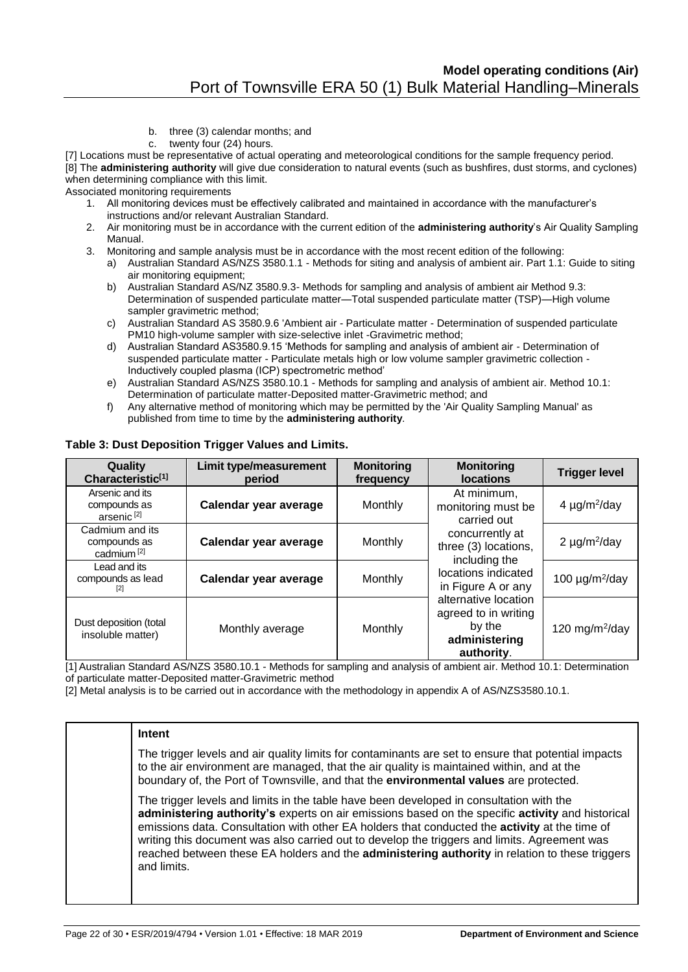- b. three (3) calendar months; and
- c. twenty four (24) hours.

[7] Locations must be representative of actual operating and meteorological conditions for the sample frequency period.

[8] The **administering authority** will give due consideration to natural events (such as bushfires, dust storms, and cyclones) when determining compliance with this limit.

Associated monitoring requirements

- 1. All monitoring devices must be effectively calibrated and maintained in accordance with the manufacturer's instructions and/or relevant Australian Standard.
- 2. Air monitoring must be in accordance with the current edition of the **administering authority**'s Air Quality Sampling Manual.
- 3. Monitoring and sample analysis must be in accordance with the most recent edition of the following:
	- a) Australian Standard AS/NZS 3580.1.1 Methods for siting and analysis of ambient air. Part 1.1: Guide to siting air monitoring equipment;
	- b) Australian Standard AS/NZ 3580.9.3- Methods for sampling and analysis of ambient air Method 9.3: Determination of suspended particulate matter—Total suspended particulate matter (TSP)—High volume sampler gravimetric method:
	- c) Australian Standard AS 3580.9.6 'Ambient air Particulate matter Determination of suspended particulate PM10 high-volume sampler with size-selective inlet -Gravimetric method;
	- d) Australian Standard AS3580.9.15 'Methods for sampling and analysis of ambient air Determination of suspended particulate matter - Particulate metals high or low volume sampler gravimetric collection - Inductively coupled plasma (ICP) spectrometric method'
	- e) Australian Standard AS/NZS 3580.10.1 Methods for sampling and analysis of ambient air. Method 10.1: Determination of particulate matter-Deposited matter-Gravimetric method; and
	- f) Any alternative method of monitoring which may be permitted by the 'Air Quality Sampling Manual' as published from time to time by the **administering authority**.

| Quality<br>Characteristic <sup>[1]</sup>                  | <b>Limit type/measurement</b><br>period | <b>Monitoring</b><br>frequency | <b>Monitoring</b><br><b>locations</b>                                                 | <b>Trigger level</b>            |
|-----------------------------------------------------------|-----------------------------------------|--------------------------------|---------------------------------------------------------------------------------------|---------------------------------|
| Arsenic and its<br>compounds as<br>arsenic <sup>[2]</sup> | Calendar year average                   | Monthly                        | At minimum,<br>monitoring must be<br>carried out                                      | 4 $\mu$ g/m <sup>2</sup> /day   |
| Cadmium and its<br>compounds as<br>cadmium <sup>[2]</sup> | Calendar year average                   | Monthly                        | concurrently at<br>three (3) locations,<br>including the                              | 2 $\mu$ g/m <sup>2</sup> /day   |
| Lead and its<br>compounds as lead<br>121                  | Calendar year average                   | Monthly                        | locations indicated<br>in Figure A or any                                             | 100 $\mu$ g/m <sup>2</sup> /day |
| Dust deposition (total<br>insoluble matter)               | Monthly average                         | Monthly                        | alternative location<br>agreed to in writing<br>by the<br>administering<br>authority. | 120 mg/m $^{2}$ /day            |

#### **Table 3: Dust Deposition Trigger Values and Limits.**

[1] Australian Standard AS/NZS 3580.10.1 - Methods for sampling and analysis of ambient air. Method 10.1: Determination of particulate matter-Deposited matter-Gravimetric method

[2] Metal analysis is to be carried out in accordance with the methodology in appendix A of AS/NZS3580.10.1.

#### **Intent**

The trigger levels and air quality limits for contaminants are set to ensure that potential impacts to the air environment are managed, that the air quality is maintained within, and at the boundary of, the Port of Townsville, and that the **environmental values** are protected.

The trigger levels and limits in the table have been developed in consultation with the **administering authority's** experts on air emissions based on the specific **activity** and historical emissions data. Consultation with other EA holders that conducted the **activity** at the time of writing this document was also carried out to develop the triggers and limits. Agreement was reached between these EA holders and the **administering authority** in relation to these triggers and limits.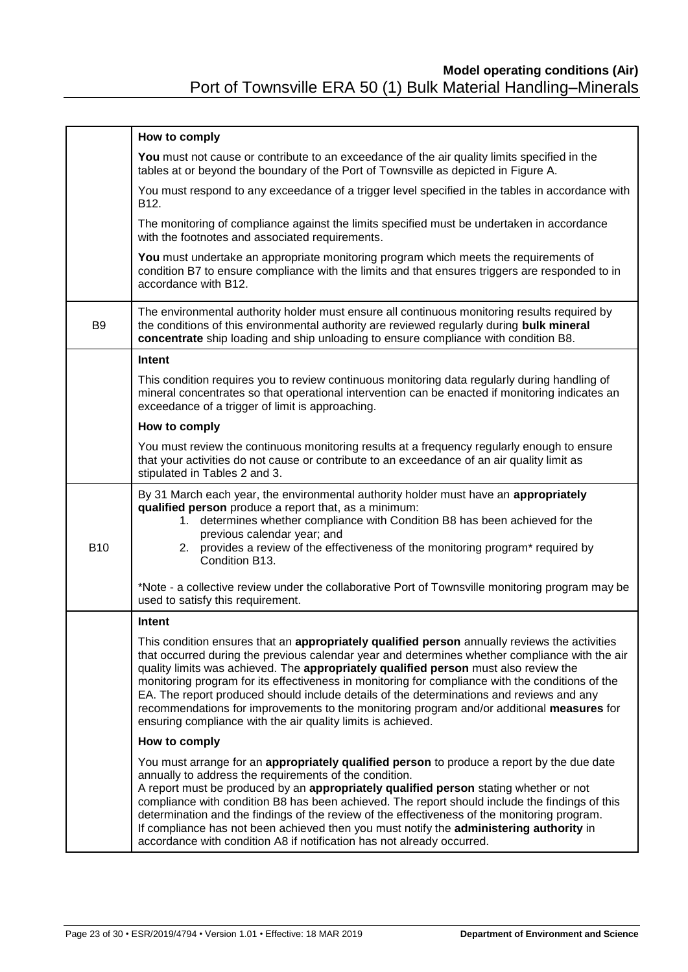|                | How to comply                                                                                                                                                                                                                                                                                                                                                                                                                                                                                                                                                                                                                                        |
|----------------|------------------------------------------------------------------------------------------------------------------------------------------------------------------------------------------------------------------------------------------------------------------------------------------------------------------------------------------------------------------------------------------------------------------------------------------------------------------------------------------------------------------------------------------------------------------------------------------------------------------------------------------------------|
|                | You must not cause or contribute to an exceedance of the air quality limits specified in the<br>tables at or beyond the boundary of the Port of Townsville as depicted in Figure A.                                                                                                                                                                                                                                                                                                                                                                                                                                                                  |
|                | You must respond to any exceedance of a trigger level specified in the tables in accordance with<br>B12.                                                                                                                                                                                                                                                                                                                                                                                                                                                                                                                                             |
|                | The monitoring of compliance against the limits specified must be undertaken in accordance<br>with the footnotes and associated requirements.                                                                                                                                                                                                                                                                                                                                                                                                                                                                                                        |
|                | You must undertake an appropriate monitoring program which meets the requirements of<br>condition B7 to ensure compliance with the limits and that ensures triggers are responded to in<br>accordance with B12.                                                                                                                                                                                                                                                                                                                                                                                                                                      |
| B <sub>9</sub> | The environmental authority holder must ensure all continuous monitoring results required by<br>the conditions of this environmental authority are reviewed regularly during bulk mineral<br>concentrate ship loading and ship unloading to ensure compliance with condition B8.                                                                                                                                                                                                                                                                                                                                                                     |
|                | Intent                                                                                                                                                                                                                                                                                                                                                                                                                                                                                                                                                                                                                                               |
|                | This condition requires you to review continuous monitoring data regularly during handling of<br>mineral concentrates so that operational intervention can be enacted if monitoring indicates an<br>exceedance of a trigger of limit is approaching.                                                                                                                                                                                                                                                                                                                                                                                                 |
|                | How to comply                                                                                                                                                                                                                                                                                                                                                                                                                                                                                                                                                                                                                                        |
|                | You must review the continuous monitoring results at a frequency regularly enough to ensure<br>that your activities do not cause or contribute to an exceedance of an air quality limit as<br>stipulated in Tables 2 and 3.                                                                                                                                                                                                                                                                                                                                                                                                                          |
| <b>B10</b>     | By 31 March each year, the environmental authority holder must have an appropriately<br>qualified person produce a report that, as a minimum:<br>1. determines whether compliance with Condition B8 has been achieved for the<br>previous calendar year; and<br>2. provides a review of the effectiveness of the monitoring program* required by<br>Condition B13.                                                                                                                                                                                                                                                                                   |
|                | *Note - a collective review under the collaborative Port of Townsville monitoring program may be<br>used to satisfy this requirement.                                                                                                                                                                                                                                                                                                                                                                                                                                                                                                                |
|                | Intent                                                                                                                                                                                                                                                                                                                                                                                                                                                                                                                                                                                                                                               |
|                | This condition ensures that an appropriately qualified person annually reviews the activities<br>that occurred during the previous calendar year and determines whether compliance with the air<br>quality limits was achieved. The appropriately qualified person must also review the<br>monitoring program for its effectiveness in monitoring for compliance with the conditions of the<br>EA. The report produced should include details of the determinations and reviews and any<br>recommendations for improvements to the monitoring program and/or additional measures for<br>ensuring compliance with the air quality limits is achieved. |
|                | How to comply                                                                                                                                                                                                                                                                                                                                                                                                                                                                                                                                                                                                                                        |
|                | You must arrange for an appropriately qualified person to produce a report by the due date<br>annually to address the requirements of the condition.<br>A report must be produced by an appropriately qualified person stating whether or not<br>compliance with condition B8 has been achieved. The report should include the findings of this<br>determination and the findings of the review of the effectiveness of the monitoring program.<br>If compliance has not been achieved then you must notify the administering authority in<br>accordance with condition A8 if notification has not already occurred.                                 |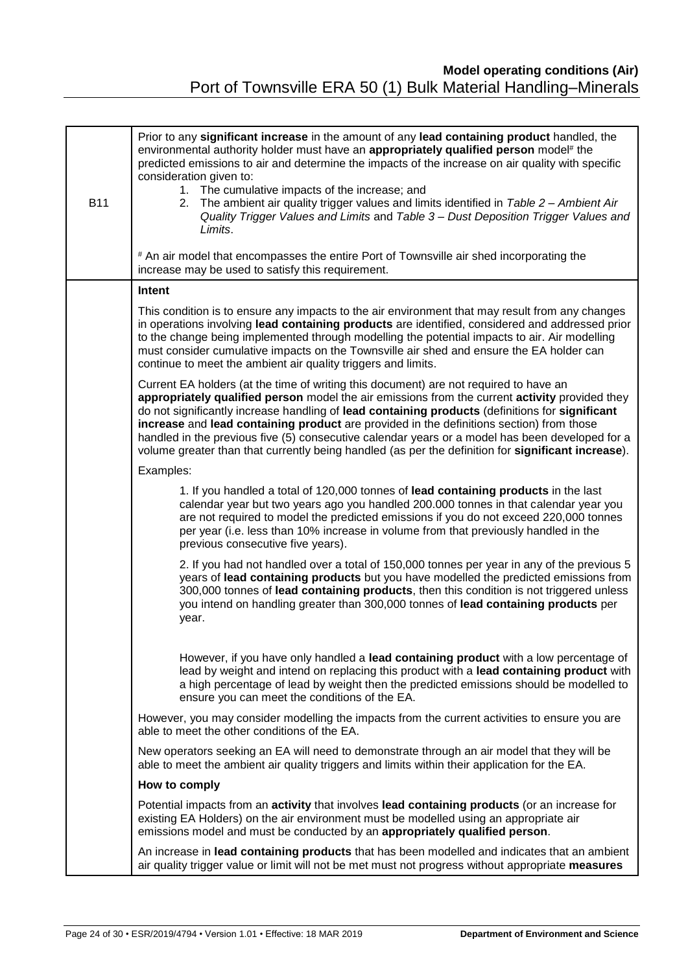| <b>B11</b> | Prior to any significant increase in the amount of any lead containing product handled, the<br>environmental authority holder must have an appropriately qualified person model <sup>#</sup> the<br>predicted emissions to air and determine the impacts of the increase on air quality with specific<br>consideration given to:<br>1. The cumulative impacts of the increase; and<br>2. The ambient air quality trigger values and limits identified in Table 2 - Ambient Air<br>Quality Trigger Values and Limits and Table 3 - Dust Deposition Trigger Values and<br>Limits.<br># An air model that encompasses the entire Port of Townsville air shed incorporating the |
|------------|-----------------------------------------------------------------------------------------------------------------------------------------------------------------------------------------------------------------------------------------------------------------------------------------------------------------------------------------------------------------------------------------------------------------------------------------------------------------------------------------------------------------------------------------------------------------------------------------------------------------------------------------------------------------------------|
|            | increase may be used to satisfy this requirement.                                                                                                                                                                                                                                                                                                                                                                                                                                                                                                                                                                                                                           |
|            | Intent                                                                                                                                                                                                                                                                                                                                                                                                                                                                                                                                                                                                                                                                      |
|            | This condition is to ensure any impacts to the air environment that may result from any changes<br>in operations involving lead containing products are identified, considered and addressed prior<br>to the change being implemented through modelling the potential impacts to air. Air modelling<br>must consider cumulative impacts on the Townsville air shed and ensure the EA holder can<br>continue to meet the ambient air quality triggers and limits.                                                                                                                                                                                                            |
|            | Current EA holders (at the time of writing this document) are not required to have an<br>appropriately qualified person model the air emissions from the current activity provided they<br>do not significantly increase handling of lead containing products (definitions for significant<br>increase and lead containing product are provided in the definitions section) from those<br>handled in the previous five (5) consecutive calendar years or a model has been developed for a<br>volume greater than that currently being handled (as per the definition for significant increase).                                                                             |
|            | Examples:                                                                                                                                                                                                                                                                                                                                                                                                                                                                                                                                                                                                                                                                   |
|            | 1. If you handled a total of 120,000 tonnes of lead containing products in the last<br>calendar year but two years ago you handled 200.000 tonnes in that calendar year you<br>are not required to model the predicted emissions if you do not exceed 220,000 tonnes<br>per year (i.e. less than 10% increase in volume from that previously handled in the<br>previous consecutive five years).                                                                                                                                                                                                                                                                            |
|            | 2. If you had not handled over a total of 150,000 tonnes per year in any of the previous 5<br>years of lead containing products but you have modelled the predicted emissions from<br>300,000 tonnes of lead containing products, then this condition is not triggered unless<br>you intend on handling greater than 300,000 tonnes of lead containing products per<br>year.                                                                                                                                                                                                                                                                                                |
|            | However, if you have only handled a lead containing product with a low percentage of<br>lead by weight and intend on replacing this product with a lead containing product with<br>a high percentage of lead by weight then the predicted emissions should be modelled to<br>ensure you can meet the conditions of the EA.                                                                                                                                                                                                                                                                                                                                                  |
|            | However, you may consider modelling the impacts from the current activities to ensure you are<br>able to meet the other conditions of the EA.                                                                                                                                                                                                                                                                                                                                                                                                                                                                                                                               |
|            | New operators seeking an EA will need to demonstrate through an air model that they will be<br>able to meet the ambient air quality triggers and limits within their application for the EA.                                                                                                                                                                                                                                                                                                                                                                                                                                                                                |
|            | How to comply                                                                                                                                                                                                                                                                                                                                                                                                                                                                                                                                                                                                                                                               |
|            | Potential impacts from an <b>activity</b> that involves lead containing products (or an increase for<br>existing EA Holders) on the air environment must be modelled using an appropriate air<br>emissions model and must be conducted by an appropriately qualified person.                                                                                                                                                                                                                                                                                                                                                                                                |
|            | An increase in lead containing products that has been modelled and indicates that an ambient<br>air quality trigger value or limit will not be met must not progress without appropriate measures                                                                                                                                                                                                                                                                                                                                                                                                                                                                           |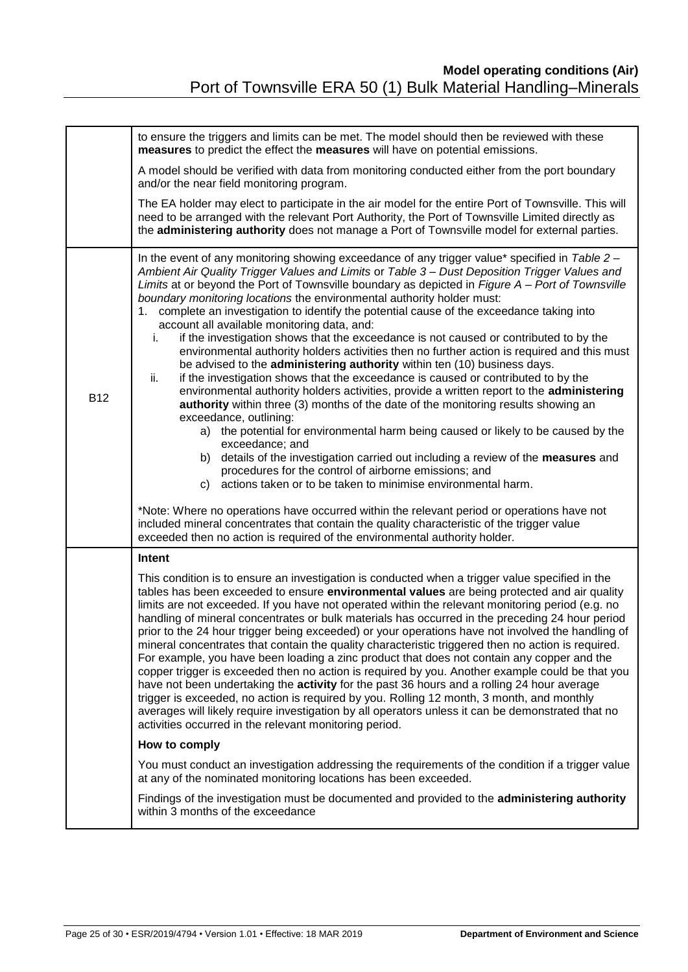|            | to ensure the triggers and limits can be met. The model should then be reviewed with these<br>measures to predict the effect the measures will have on potential emissions.                                                                                                                                                                                                                                                                                                                                                                                                                                                                                                                                                                                                                                                                                                                                                                                                                                                                                                                                                                                                                                                                                                                                                                                                                                                                                                                                                                                                                                                                |
|------------|--------------------------------------------------------------------------------------------------------------------------------------------------------------------------------------------------------------------------------------------------------------------------------------------------------------------------------------------------------------------------------------------------------------------------------------------------------------------------------------------------------------------------------------------------------------------------------------------------------------------------------------------------------------------------------------------------------------------------------------------------------------------------------------------------------------------------------------------------------------------------------------------------------------------------------------------------------------------------------------------------------------------------------------------------------------------------------------------------------------------------------------------------------------------------------------------------------------------------------------------------------------------------------------------------------------------------------------------------------------------------------------------------------------------------------------------------------------------------------------------------------------------------------------------------------------------------------------------------------------------------------------------|
|            | A model should be verified with data from monitoring conducted either from the port boundary<br>and/or the near field monitoring program.                                                                                                                                                                                                                                                                                                                                                                                                                                                                                                                                                                                                                                                                                                                                                                                                                                                                                                                                                                                                                                                                                                                                                                                                                                                                                                                                                                                                                                                                                                  |
|            | The EA holder may elect to participate in the air model for the entire Port of Townsville. This will<br>need to be arranged with the relevant Port Authority, the Port of Townsville Limited directly as<br>the administering authority does not manage a Port of Townsville model for external parties.                                                                                                                                                                                                                                                                                                                                                                                                                                                                                                                                                                                                                                                                                                                                                                                                                                                                                                                                                                                                                                                                                                                                                                                                                                                                                                                                   |
| <b>B12</b> | In the event of any monitoring showing exceedance of any trigger value* specified in Table 2 -<br>Ambient Air Quality Trigger Values and Limits or Table 3 - Dust Deposition Trigger Values and<br>Limits at or beyond the Port of Townsville boundary as depicted in Figure A - Port of Townsville<br>boundary monitoring locations the environmental authority holder must:<br>1. complete an investigation to identify the potential cause of the exceedance taking into<br>account all available monitoring data, and:<br>if the investigation shows that the exceedance is not caused or contributed to by the<br>i.<br>environmental authority holders activities then no further action is required and this must<br>be advised to the administering authority within ten (10) business days.<br>ii.<br>if the investigation shows that the exceedance is caused or contributed to by the<br>environmental authority holders activities, provide a written report to the administering<br>authority within three (3) months of the date of the monitoring results showing an<br>exceedance, outlining:<br>a) the potential for environmental harm being caused or likely to be caused by the<br>exceedance; and<br>details of the investigation carried out including a review of the measures and<br>b)<br>procedures for the control of airborne emissions; and<br>actions taken or to be taken to minimise environmental harm.<br>C)<br>*Note: Where no operations have occurred within the relevant period or operations have not<br>included mineral concentrates that contain the quality characteristic of the trigger value |
|            | exceeded then no action is required of the environmental authority holder.<br>Intent                                                                                                                                                                                                                                                                                                                                                                                                                                                                                                                                                                                                                                                                                                                                                                                                                                                                                                                                                                                                                                                                                                                                                                                                                                                                                                                                                                                                                                                                                                                                                       |
|            | This condition is to ensure an investigation is conducted when a trigger value specified in the<br>tables has been exceeded to ensure environmental values are being protected and air quality<br>limits are not exceeded. If you have not operated within the relevant monitoring period (e.g. no<br>handling of mineral concentrates or bulk materials has occurred in the preceding 24 hour period<br>prior to the 24 hour trigger being exceeded) or your operations have not involved the handling of<br>mineral concentrates that contain the quality characteristic triggered then no action is required.<br>For example, you have been loading a zinc product that does not contain any copper and the<br>copper trigger is exceeded then no action is required by you. Another example could be that you<br>have not been undertaking the <b>activity</b> for the past 36 hours and a rolling 24 hour average<br>trigger is exceeded, no action is required by you. Rolling 12 month, 3 month, and monthly<br>averages will likely require investigation by all operators unless it can be demonstrated that no<br>activities occurred in the relevant monitoring period.<br>How to comply                                                                                                                                                                                                                                                                                                                                                                                                                                        |
|            | You must conduct an investigation addressing the requirements of the condition if a trigger value                                                                                                                                                                                                                                                                                                                                                                                                                                                                                                                                                                                                                                                                                                                                                                                                                                                                                                                                                                                                                                                                                                                                                                                                                                                                                                                                                                                                                                                                                                                                          |
|            | at any of the nominated monitoring locations has been exceeded.                                                                                                                                                                                                                                                                                                                                                                                                                                                                                                                                                                                                                                                                                                                                                                                                                                                                                                                                                                                                                                                                                                                                                                                                                                                                                                                                                                                                                                                                                                                                                                            |
|            | Findings of the investigation must be documented and provided to the administering authority<br>within 3 months of the exceedance                                                                                                                                                                                                                                                                                                                                                                                                                                                                                                                                                                                                                                                                                                                                                                                                                                                                                                                                                                                                                                                                                                                                                                                                                                                                                                                                                                                                                                                                                                          |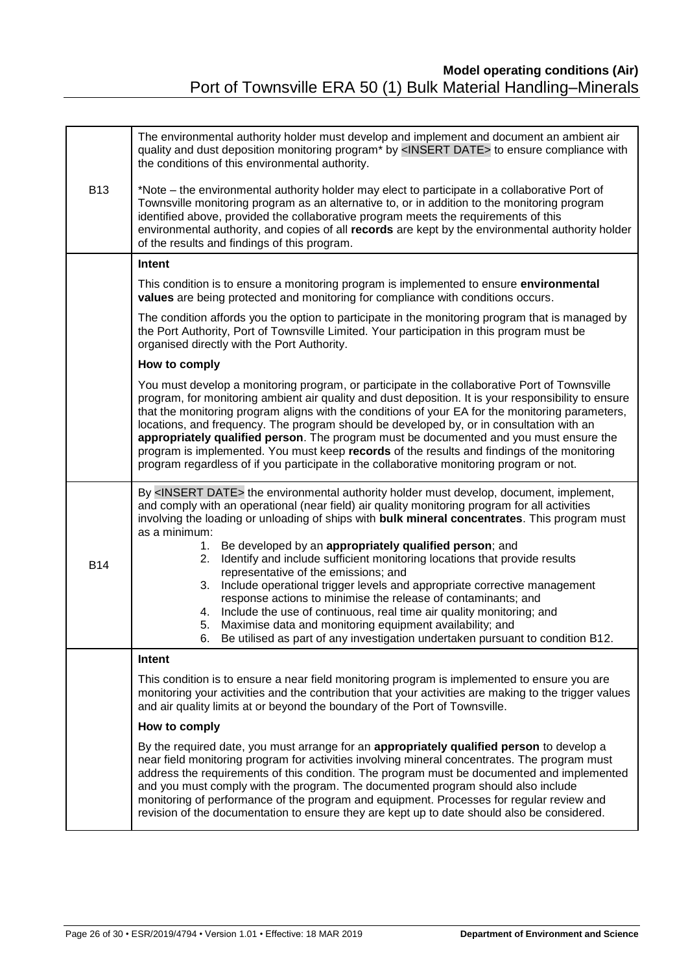|            | The environmental authority holder must develop and implement and document an ambient air<br>quality and dust deposition monitoring program* by <insert date=""> to ensure compliance with<br/>the conditions of this environmental authority.</insert>                                                                                                                                                                                                                                                                                                                                                                                                                                    |
|------------|--------------------------------------------------------------------------------------------------------------------------------------------------------------------------------------------------------------------------------------------------------------------------------------------------------------------------------------------------------------------------------------------------------------------------------------------------------------------------------------------------------------------------------------------------------------------------------------------------------------------------------------------------------------------------------------------|
| <b>B13</b> | *Note – the environmental authority holder may elect to participate in a collaborative Port of<br>Townsville monitoring program as an alternative to, or in addition to the monitoring program<br>identified above, provided the collaborative program meets the requirements of this<br>environmental authority, and copies of all records are kept by the environmental authority holder<br>of the results and findings of this program.                                                                                                                                                                                                                                                 |
|            | Intent                                                                                                                                                                                                                                                                                                                                                                                                                                                                                                                                                                                                                                                                                     |
|            | This condition is to ensure a monitoring program is implemented to ensure environmental<br>values are being protected and monitoring for compliance with conditions occurs.                                                                                                                                                                                                                                                                                                                                                                                                                                                                                                                |
|            | The condition affords you the option to participate in the monitoring program that is managed by<br>the Port Authority, Port of Townsville Limited. Your participation in this program must be<br>organised directly with the Port Authority.                                                                                                                                                                                                                                                                                                                                                                                                                                              |
|            | How to comply                                                                                                                                                                                                                                                                                                                                                                                                                                                                                                                                                                                                                                                                              |
|            | You must develop a monitoring program, or participate in the collaborative Port of Townsville<br>program, for monitoring ambient air quality and dust deposition. It is your responsibility to ensure<br>that the monitoring program aligns with the conditions of your EA for the monitoring parameters,<br>locations, and frequency. The program should be developed by, or in consultation with an<br>appropriately qualified person. The program must be documented and you must ensure the<br>program is implemented. You must keep records of the results and findings of the monitoring<br>program regardless of if you participate in the collaborative monitoring program or not. |
|            | By <insert date=""> the environmental authority holder must develop, document, implement,<br/>and comply with an operational (near field) air quality monitoring program for all activities<br/>involving the loading or unloading of ships with bulk mineral concentrates. This program must<br/>as a minimum:</insert>                                                                                                                                                                                                                                                                                                                                                                   |
| <b>B14</b> | Be developed by an appropriately qualified person; and<br>1.<br>Identify and include sufficient monitoring locations that provide results<br>2.<br>representative of the emissions; and<br>Include operational trigger levels and appropriate corrective management<br>3.<br>response actions to minimise the release of contaminants; and<br>Include the use of continuous, real time air quality monitoring; and<br>4.<br>Maximise data and monitoring equipment availability; and<br>5.<br>Be utilised as part of any investigation undertaken pursuant to condition B12<br>6.                                                                                                          |
|            | Intent                                                                                                                                                                                                                                                                                                                                                                                                                                                                                                                                                                                                                                                                                     |
|            | This condition is to ensure a near field monitoring program is implemented to ensure you are<br>monitoring your activities and the contribution that your activities are making to the trigger values<br>and air quality limits at or beyond the boundary of the Port of Townsville.                                                                                                                                                                                                                                                                                                                                                                                                       |
|            | How to comply                                                                                                                                                                                                                                                                                                                                                                                                                                                                                                                                                                                                                                                                              |
|            | By the required date, you must arrange for an appropriately qualified person to develop a<br>near field monitoring program for activities involving mineral concentrates. The program must<br>address the requirements of this condition. The program must be documented and implemented<br>and you must comply with the program. The documented program should also include<br>monitoring of performance of the program and equipment. Processes for regular review and<br>revision of the documentation to ensure they are kept up to date should also be considered.                                                                                                                    |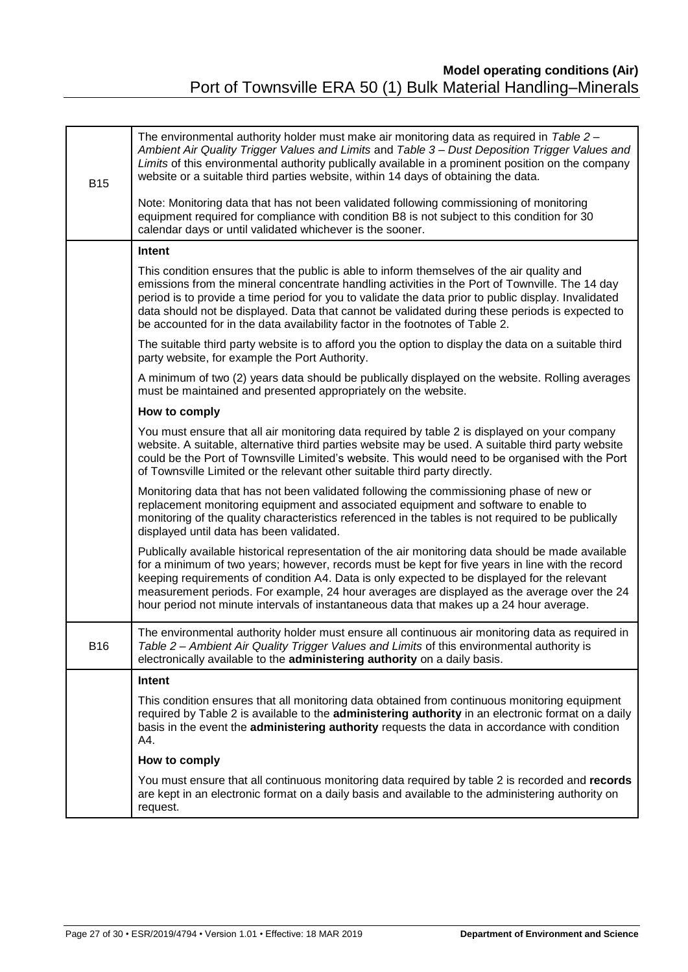| <b>B15</b> | The environmental authority holder must make air monitoring data as required in Table 2 -<br>Ambient Air Quality Trigger Values and Limits and Table 3 - Dust Deposition Trigger Values and<br>Limits of this environmental authority publically available in a prominent position on the company<br>website or a suitable third parties website, within 14 days of obtaining the data.<br>Note: Monitoring data that has not been validated following commissioning of monitoring<br>equipment required for compliance with condition B8 is not subject to this condition for 30<br>calendar days or until validated whichever is the sooner. |
|------------|------------------------------------------------------------------------------------------------------------------------------------------------------------------------------------------------------------------------------------------------------------------------------------------------------------------------------------------------------------------------------------------------------------------------------------------------------------------------------------------------------------------------------------------------------------------------------------------------------------------------------------------------|
|            | Intent                                                                                                                                                                                                                                                                                                                                                                                                                                                                                                                                                                                                                                         |
|            | This condition ensures that the public is able to inform themselves of the air quality and<br>emissions from the mineral concentrate handling activities in the Port of Townville. The 14 day<br>period is to provide a time period for you to validate the data prior to public display. Invalidated<br>data should not be displayed. Data that cannot be validated during these periods is expected to<br>be accounted for in the data availability factor in the footnotes of Table 2.                                                                                                                                                      |
|            | The suitable third party website is to afford you the option to display the data on a suitable third<br>party website, for example the Port Authority.                                                                                                                                                                                                                                                                                                                                                                                                                                                                                         |
|            | A minimum of two (2) years data should be publically displayed on the website. Rolling averages<br>must be maintained and presented appropriately on the website.                                                                                                                                                                                                                                                                                                                                                                                                                                                                              |
|            | How to comply                                                                                                                                                                                                                                                                                                                                                                                                                                                                                                                                                                                                                                  |
|            | You must ensure that all air monitoring data required by table 2 is displayed on your company<br>website. A suitable, alternative third parties website may be used. A suitable third party website<br>could be the Port of Townsville Limited's website. This would need to be organised with the Port<br>of Townsville Limited or the relevant other suitable third party directly.                                                                                                                                                                                                                                                          |
|            | Monitoring data that has not been validated following the commissioning phase of new or<br>replacement monitoring equipment and associated equipment and software to enable to<br>monitoring of the quality characteristics referenced in the tables is not required to be publically<br>displayed until data has been validated.                                                                                                                                                                                                                                                                                                              |
|            | Publically available historical representation of the air monitoring data should be made available<br>for a minimum of two years; however, records must be kept for five years in line with the record<br>keeping requirements of condition A4. Data is only expected to be displayed for the relevant<br>measurement periods. For example, 24 hour averages are displayed as the average over the 24<br>hour period not minute intervals of instantaneous data that makes up a 24 hour average.                                                                                                                                               |
| <b>B16</b> | The environmental authority holder must ensure all continuous air monitoring data as required in<br>Table 2 - Ambient Air Quality Trigger Values and Limits of this environmental authority is<br>electronically available to the administering authority on a daily basis.                                                                                                                                                                                                                                                                                                                                                                    |
|            | Intent                                                                                                                                                                                                                                                                                                                                                                                                                                                                                                                                                                                                                                         |
|            | This condition ensures that all monitoring data obtained from continuous monitoring equipment<br>required by Table 2 is available to the administering authority in an electronic format on a daily<br>basis in the event the administering authority requests the data in accordance with condition<br>A4.                                                                                                                                                                                                                                                                                                                                    |
|            | How to comply                                                                                                                                                                                                                                                                                                                                                                                                                                                                                                                                                                                                                                  |
|            | You must ensure that all continuous monitoring data required by table 2 is recorded and records<br>are kept in an electronic format on a daily basis and available to the administering authority on<br>request.                                                                                                                                                                                                                                                                                                                                                                                                                               |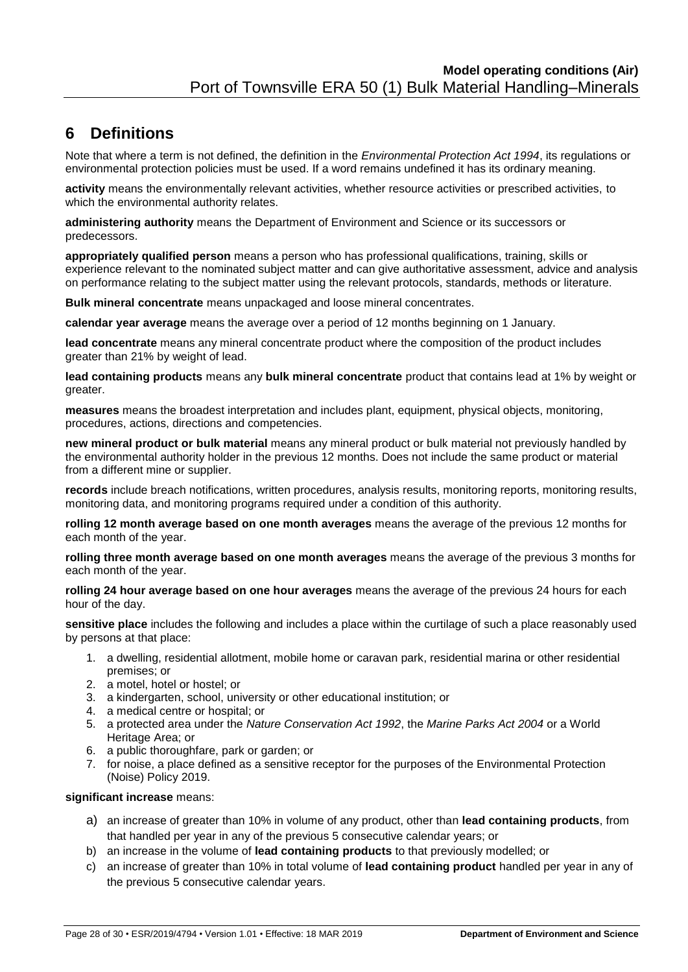# <span id="page-27-0"></span>**6 Definitions**

Note that where a term is not defined, the definition in the *Environmental Protection Act 1994*, its regulations or environmental protection policies must be used. If a word remains undefined it has its ordinary meaning.

**activity** means the environmentally relevant activities, whether resource activities or prescribed activities, to which the environmental authority relates.

**administering authority** means the Department of Environment and Science or its successors or predecessors.

**appropriately qualified person** means a person who has professional qualifications, training, skills or experience relevant to the nominated subject matter and can give authoritative assessment, advice and analysis on performance relating to the subject matter using the relevant protocols, standards, methods or literature.

**Bulk mineral concentrate** means unpackaged and loose mineral concentrates.

**calendar year average** means the average over a period of 12 months beginning on 1 January.

**lead concentrate** means any mineral concentrate product where the composition of the product includes greater than 21% by weight of lead.

**lead containing products** means any **bulk mineral concentrate** product that contains lead at 1% by weight or greater.

**measures** means the broadest interpretation and includes plant, equipment, physical objects, monitoring, procedures, actions, directions and competencies.

**new mineral product or bulk material** means any mineral product or bulk material not previously handled by the environmental authority holder in the previous 12 months. Does not include the same product or material from a different mine or supplier.

**records** include breach notifications, written procedures, analysis results, monitoring reports, monitoring results, monitoring data, and monitoring programs required under a condition of this authority.

**rolling 12 month average based on one month averages** means the average of the previous 12 months for each month of the year.

**rolling three month average based on one month averages** means the average of the previous 3 months for each month of the year.

**rolling 24 hour average based on one hour averages** means the average of the previous 24 hours for each hour of the day.

**sensitive place** includes the following and includes a place within the curtilage of such a place reasonably used by persons at that place:

- 1. a dwelling, residential allotment, mobile home or caravan park, residential marina or other residential premises; or
- 2. a motel, hotel or hostel; or
- 3. a kindergarten, school, university or other educational institution; or
- 4. a medical centre or hospital; or
- 5. a protected area under the *Nature Conservation Act 1992*, the *Marine Parks Act 2004* or a World Heritage Area; or
- 6. a public thoroughfare, park or garden; or
- 7. for noise, a place defined as a sensitive receptor for the purposes of the Environmental Protection (Noise) Policy 2019.

#### **significant increase** means:

- a) an increase of greater than 10% in volume of any product, other than **lead containing products**, from that handled per year in any of the previous 5 consecutive calendar years; or
- b) an increase in the volume of **lead containing products** to that previously modelled; or
- c) an increase of greater than 10% in total volume of **lead containing product** handled per year in any of the previous 5 consecutive calendar years.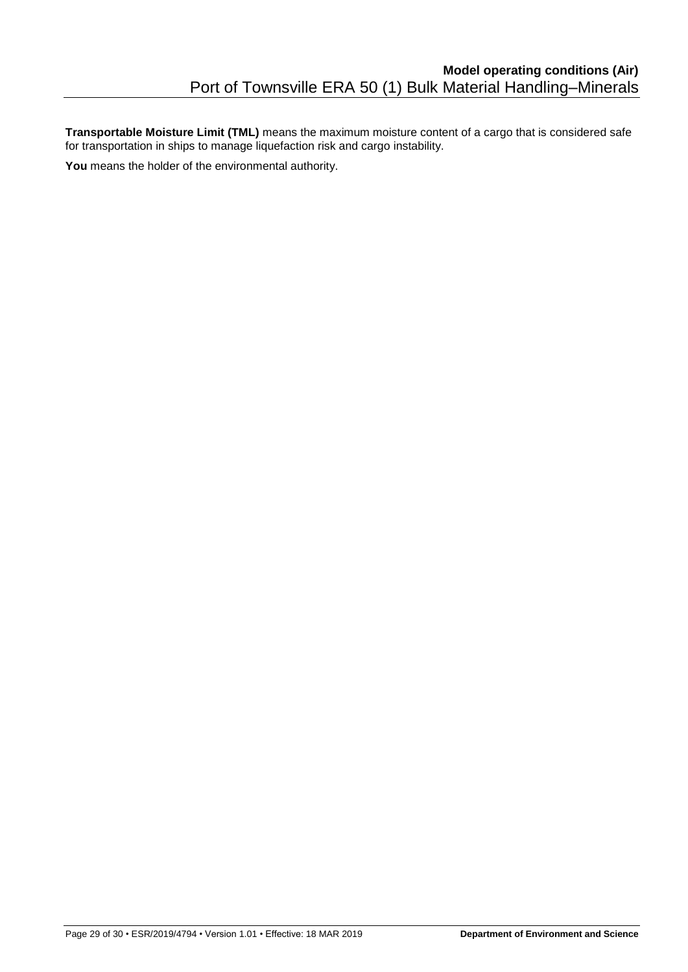**Transportable Moisture Limit (TML)** means the maximum moisture content of a cargo that is considered safe for transportation in ships to manage liquefaction risk and cargo instability.

**You** means the holder of the environmental authority.